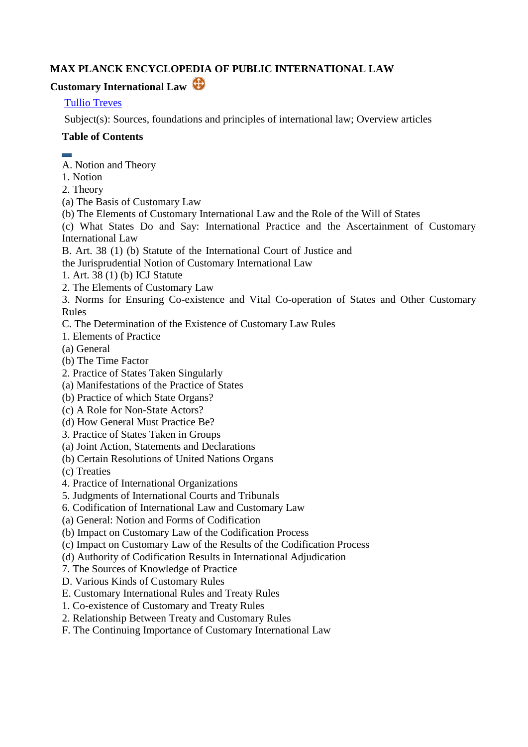# **MAX PLANCK ENCYCLOPEDIA OF PUBLIC INTERNATIONAL LAW**

# **Customary International Law**

# [Tullio Treves](http://www.mpepil.com/subscriber_articles_by_author2?author=Treves,%20Tullio&letter=T)

Subject(s): Sources, foundations and principles of international law; Overview articles

# **Table of Contents**

- 
- A. Notion and Theory
- 1. Notion
- 2. Theory
- (a) The Basis of Customary Law
- (b) The Elements of Customary International Law and the Role of the Will of States

(c) What States Do and Say: International Practice and the Ascertainment of Customary International Law

- B. Art. 38 (1) (b) Statute of the International Court of Justice and
- the Jurisprudential Notion of Customary International Law
- 1. Art. 38 (1) (b) ICJ Statute
- 2. The Elements of Customary Law
- 3. Norms for Ensuring Co-existence and Vital Co-operation of States and Other Customary Rules
- C. The Determination of the Existence of Customary Law Rules
- 1. Elements of Practice
- (a) General
- (b) The Time Factor
- 2. Practice of States Taken Singularly
- (a) Manifestations of the Practice of States
- (b) Practice of which State Organs?
- (c) A Role for Non-State Actors?
- (d) How General Must Practice Be?
- 3. Practice of States Taken in Groups
- (a) Joint Action, Statements and Declarations
- (b) Certain Resolutions of United Nations Organs
- (c) Treaties
- 4. Practice of International Organizations
- 5. Judgments of International Courts and Tribunals
- 6. Codification of International Law and Customary Law
- (a) General: Notion and Forms of Codification
- (b) Impact on Customary Law of the Codification Process
- (c) Impact on Customary Law of the Results of the Codification Process
- (d) Authority of Codification Results in International Adjudication
- 7. The Sources of Knowledge of Practice
- D. Various Kinds of Customary Rules
- E. Customary International Rules and Treaty Rules
- 1. Co-existence of Customary and Treaty Rules
- 2. Relationship Between Treaty and Customary Rules
- F. The Continuing Importance of Customary International Law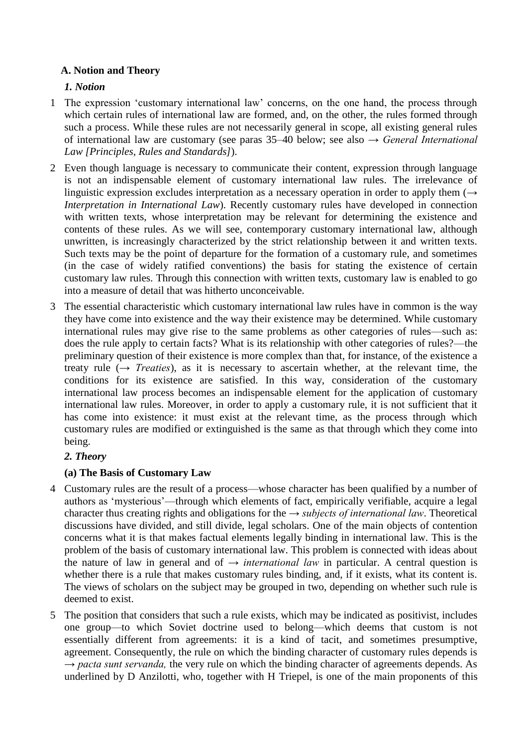# **A. Notion and Theory**

# *1. Notion*

- 1 The expression ‗customary international law' concerns, on the one hand, the process through which certain rules of international law are formed, and, on the other, the rules formed through such a process. While these rules are not necessarily general in scope, all existing general rules of international law are customary (see paras 35–40 below; see also *→ General International Law [Principles, Rules and Standards]*).
- 2 Even though language is necessary to communicate their content, expression through language is not an indispensable element of customary international law rules. The irrelevance of linguistic expression excludes interpretation as a necessary operation in order to apply them (*→ Interpretation in International Law*). Recently customary rules have developed in connection with written texts, whose interpretation may be relevant for determining the existence and contents of these rules. As we will see, contemporary customary international law, although unwritten, is increasingly characterized by the strict relationship between it and written texts. Such texts may be the point of departure for the formation of a customary rule, and sometimes (in the case of widely ratified conventions) the basis for stating the existence of certain customary law rules. Through this connection with written texts, customary law is enabled to go into a measure of detail that was hitherto unconceivable.
- 3 The essential characteristic which customary international law rules have in common is the way they have come into existence and the way their existence may be determined. While customary international rules may give rise to the same problems as other categories of rules—such as: does the rule apply to certain facts? What is its relationship with other categories of rules?—the preliminary question of their existence is more complex than that, for instance, of the existence a treaty rule (*→ Treaties*), as it is necessary to ascertain whether, at the relevant time, the conditions for its existence are satisfied. In this way, consideration of the customary international law process becomes an indispensable element for the application of customary international law rules. Moreover, in order to apply a customary rule, it is not sufficient that it has come into existence: it must exist at the relevant time, as the process through which customary rules are modified or extinguished is the same as that through which they come into being.

### *2. Theory*

### **(a) The Basis of Customary Law**

- 4 Customary rules are the result of a process—whose character has been qualified by a number of authors as ‗mysterious'—through which elements of fact, empirically verifiable, acquire a legal character thus creating rights and obligations for the *→ subjects of international law*. Theoretical discussions have divided, and still divide, legal scholars. One of the main objects of contention concerns what it is that makes factual elements legally binding in international law. This is the problem of the basis of customary international law. This problem is connected with ideas about the nature of law in general and of  $\rightarrow$  *international law* in particular. A central question is whether there is a rule that makes customary rules binding, and, if it exists, what its content is. The views of scholars on the subject may be grouped in two, depending on whether such rule is deemed to exist.
- 5 The position that considers that such a rule exists, which may be indicated as positivist, includes one group—to which Soviet doctrine used to belong—which deems that custom is not essentially different from agreements: it is a kind of tacit, and sometimes presumptive, agreement. Consequently, the rule on which the binding character of customary rules depends is *→ pacta sunt servanda,* the very rule on which the binding character of agreements depends. As underlined by D Anzilotti, who, together with H Triepel, is one of the main proponents of this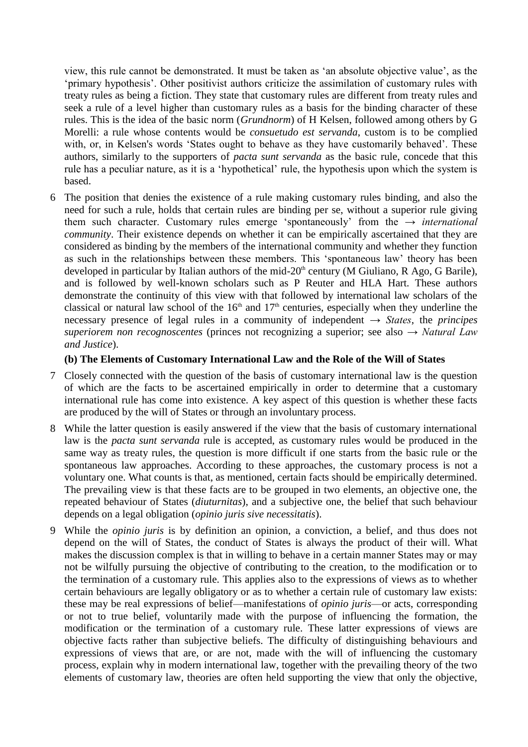view, this rule cannot be demonstrated. It must be taken as ‗an absolute objective value', as the ‗primary hypothesis'. Other positivist authors criticize the assimilation of customary rules with treaty rules as being a fiction. They state that customary rules are different from treaty rules and seek a rule of a level higher than customary rules as a basis for the binding character of these rules. This is the idea of the basic norm (*Grundnorm*) of H Kelsen, followed among others by G Morelli: a rule whose contents would be *consuetudo est servanda*, custom is to be complied with, or, in Kelsen's words 'States ought to behave as they have customarily behaved'. These authors, similarly to the supporters of *pacta sunt servanda* as the basic rule, concede that this rule has a peculiar nature, as it is a 'hypothetical' rule, the hypothesis upon which the system is based.

6 The position that denies the existence of a rule making customary rules binding, and also the need for such a rule, holds that certain rules are binding per se, without a superior rule giving them such character. Customary rules emerge ‗spontaneously' from the *→ international community*. Their existence depends on whether it can be empirically ascertained that they are considered as binding by the members of the international community and whether they function as such in the relationships between these members. This 'spontaneous law' theory has been developed in particular by Italian authors of the mid-20<sup>th</sup> century (M Giuliano, R Ago, G Barile), and is followed by well-known scholars such as P Reuter and HLA Hart. These authors demonstrate the continuity of this view with that followed by international law scholars of the classical or natural law school of the  $16<sup>th</sup>$  and  $17<sup>th</sup>$  centuries, especially when they underline the necessary presence of legal rules in a community of independent *→ States*, the *principes superiorem non recognoscentes* (princes not recognizing a superior; see also *→ Natural Law and Justice*).

#### **(b) The Elements of Customary International Law and the Role of the Will of States**

- 7 Closely connected with the question of the basis of customary international law is the question of which are the facts to be ascertained empirically in order to determine that a customary international rule has come into existence. A key aspect of this question is whether these facts are produced by the will of States or through an involuntary process.
- 8 While the latter question is easily answered if the view that the basis of customary international law is the *pacta sunt servanda* rule is accepted, as customary rules would be produced in the same way as treaty rules, the question is more difficult if one starts from the basic rule or the spontaneous law approaches. According to these approaches, the customary process is not a voluntary one. What counts is that, as mentioned, certain facts should be empirically determined. The prevailing view is that these facts are to be grouped in two elements, an objective one, the repeated behaviour of States (*diuturnitas*), and a subjective one, the belief that such behaviour depends on a legal obligation (*opinio juris sive necessitatis*).
- 9 While the *opinio juris* is by definition an opinion, a conviction, a belief, and thus does not depend on the will of States, the conduct of States is always the product of their will. What makes the discussion complex is that in willing to behave in a certain manner States may or may not be wilfully pursuing the objective of contributing to the creation, to the modification or to the termination of a customary rule. This applies also to the expressions of views as to whether certain behaviours are legally obligatory or as to whether a certain rule of customary law exists: these may be real expressions of belief—manifestations of *opinio juris*—or acts, corresponding or not to true belief, voluntarily made with the purpose of influencing the formation, the modification or the termination of a customary rule. These latter expressions of views are objective facts rather than subjective beliefs. The difficulty of distinguishing behaviours and expressions of views that are, or are not, made with the will of influencing the customary process, explain why in modern international law, together with the prevailing theory of the two elements of customary law, theories are often held supporting the view that only the objective,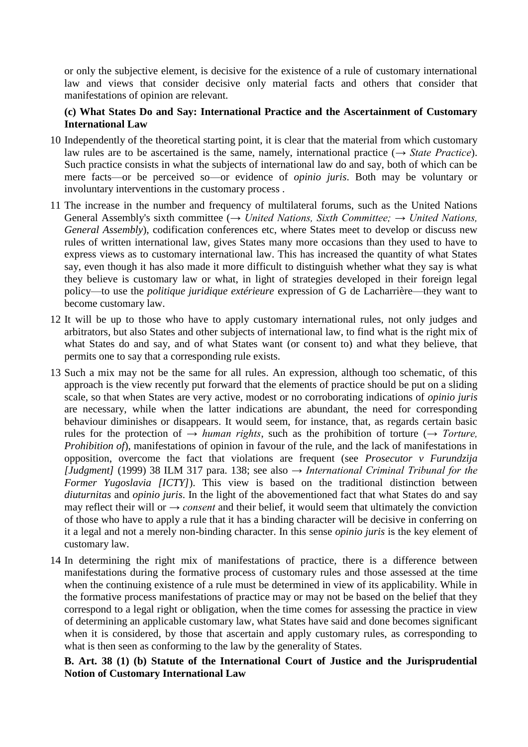or only the subjective element, is decisive for the existence of a rule of customary international law and views that consider decisive only material facts and others that consider that manifestations of opinion are relevant.

### **(c) What States Do and Say: International Practice and the Ascertainment of Customary International Law**

- 10 Independently of the theoretical starting point, it is clear that the material from which customary law rules are to be ascertained is the same, namely, international practice (*→ State Practice*). Such practice consists in what the subjects of international law do and say, both of which can be mere facts—or be perceived so—or evidence of *opinio juris*. Both may be voluntary or involuntary interventions in the customary process .
- 11 The increase in the number and frequency of multilateral forums, such as the United Nations General Assembly's sixth committee (*→ United Nations, Sixth Committee; → United Nations, General Assembly*), codification conferences etc, where States meet to develop or discuss new rules of written international law, gives States many more occasions than they used to have to express views as to customary international law. This has increased the quantity of what States say, even though it has also made it more difficult to distinguish whether what they say is what they believe is customary law or what, in light of strategies developed in their foreign legal policy—to use the *politique juridique extérieure* expression of G de Lacharrière—they want to become customary law.
- 12 It will be up to those who have to apply customary international rules, not only judges and arbitrators, but also States and other subjects of international law, to find what is the right mix of what States do and say, and of what States want (or consent to) and what they believe, that permits one to say that a corresponding rule exists.
- 13 Such a mix may not be the same for all rules. An expression, although too schematic, of this approach is the view recently put forward that the elements of practice should be put on a sliding scale, so that when States are very active, modest or no corroborating indications of *opinio juris* are necessary, while when the latter indications are abundant, the need for corresponding behaviour diminishes or disappears. It would seem, for instance, that, as regards certain basic rules for the protection of *→ human rights*, such as the prohibition of torture (*→ Torture, Prohibition of*), manifestations of opinion in favour of the rule, and the lack of manifestations in opposition, overcome the fact that violations are frequent (see *Prosecutor v Furundzija [Judgment]* (1999) 38 ILM 317 para. 138; see also *→ International Criminal Tribunal for the Former Yugoslavia [ICTY]*). This view is based on the traditional distinction between *diuturnitas* and *opinio juris*. In the light of the abovementioned fact that what States do and say may reflect their will or  $\rightarrow$  *consent* and their belief, it would seem that ultimately the conviction of those who have to apply a rule that it has a binding character will be decisive in conferring on it a legal and not a merely non-binding character. In this sense *opinio juris* is the key element of customary law.
- 14 In determining the right mix of manifestations of practice, there is a difference between manifestations during the formative process of customary rules and those assessed at the time when the continuing existence of a rule must be determined in view of its applicability. While in the formative process manifestations of practice may or may not be based on the belief that they correspond to a legal right or obligation, when the time comes for assessing the practice in view of determining an applicable customary law, what States have said and done becomes significant when it is considered, by those that ascertain and apply customary rules, as corresponding to what is then seen as conforming to the law by the generality of States.

**B. Art. 38 (1) (b) Statute of the International Court of Justice and the Jurisprudential Notion of Customary International Law**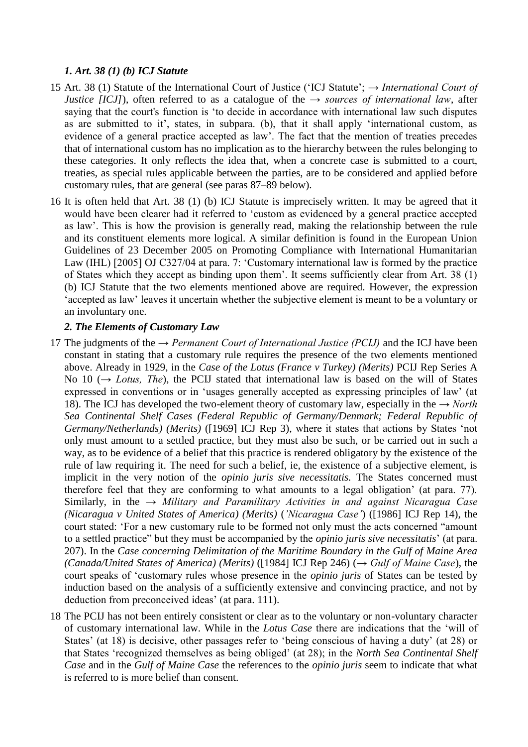# *1. Art. 38 (1) (b) ICJ Statute*

- 15 Art. 38 (1) Statute of the International Court of Justice (‗ICJ Statute'; *→ International Court of Justice [ICJ]*), often referred to as a catalogue of the  $\rightarrow$  *sources of international law*, after saying that the court's function is 'to decide in accordance with international law such disputes as are submitted to it', states, in subpara. (b), that it shall apply 'international custom, as evidence of a general practice accepted as law'. The fact that the mention of treaties precedes that of international custom has no implication as to the hierarchy between the rules belonging to these categories. It only reflects the idea that, when a concrete case is submitted to a court, treaties, as special rules applicable between the parties, are to be considered and applied before customary rules, that are general (see paras 87–89 below).
- 16 It is often held that Art. 38 (1) (b) ICJ Statute is imprecisely written. It may be agreed that it would have been clearer had it referred to 'custom as evidenced by a general practice accepted as law'. This is how the provision is generally read, making the relationship between the rule and its constituent elements more logical. A similar definition is found in the European Union Guidelines of 23 December 2005 on Promoting Compliance with International Humanitarian Law (IHL) [2005] OJ C327/04 at para. 7: 'Customary international law is formed by the practice of States which they accept as binding upon them'. It seems sufficiently clear from Art. 38 (1) (b) ICJ Statute that the two elements mentioned above are required. However, the expression ‗accepted as law' leaves it uncertain whether the subjective element is meant to be a voluntary or an involuntary one.

### *2. The Elements of Customary Law*

- 17 The judgments of the *→ Permanent Court of International Justice (PCIJ)* and the ICJ have been constant in stating that a customary rule requires the presence of the two elements mentioned above. Already in 1929, in the *Case of the Lotus (France v Turkey) (Merits)* PCIJ Rep Series A No 10 (*→ Lotus, The*), the PCIJ stated that international law is based on the will of States expressed in conventions or in 'usages generally accepted as expressing principles of law' (at 18). The ICJ has developed the two-element theory of customary law, especially in the *→ North Sea Continental Shelf Cases (Federal Republic of Germany/Denmark; Federal Republic of Germany/Netherlands) (Merits)* ([1969] ICJ Rep 3), where it states that actions by States 'not only must amount to a settled practice, but they must also be such, or be carried out in such a way, as to be evidence of a belief that this practice is rendered obligatory by the existence of the rule of law requiring it. The need for such a belief, ie, the existence of a subjective element, is implicit in the very notion of the *opinio juris sive necessitatis.* The States concerned must therefore feel that they are conforming to what amounts to a legal obligation' (at para. 77). Similarly, in the *→ Military and Paramilitary Activities in and against Nicaragua Case (Nicaragua v United States of America) (Merits)* (*'Nicaragua Case'*) ([1986] ICJ Rep 14), the court stated: 'For a new customary rule to be formed not only must the acts concerned "amount to a settled practice" but they must be accompanied by the *opinio juris sive necessitatis*' (at para. 207). In the *Case concerning Delimitation of the Maritime Boundary in the Gulf of Maine Area (Canada/United States of America) (Merits)* ([1984] ICJ Rep 246) (*→ Gulf of Maine Case*), the court speaks of ‗customary rules whose presence in the *opinio juris* of States can be tested by induction based on the analysis of a sufficiently extensive and convincing practice, and not by deduction from preconceived ideas' (at para. 111).
- 18 The PCIJ has not been entirely consistent or clear as to the voluntary or non-voluntary character of customary international law. While in the *Lotus Case* there are indications that the 'will of States' (at 18) is decisive, other passages refer to 'being conscious of having a duty' (at 28) or that States ‗recognized themselves as being obliged' (at 28); in the *North Sea Continental Shelf Case* and in the *Gulf of Maine Case* the references to the *opinio juris* seem to indicate that what is referred to is more belief than consent.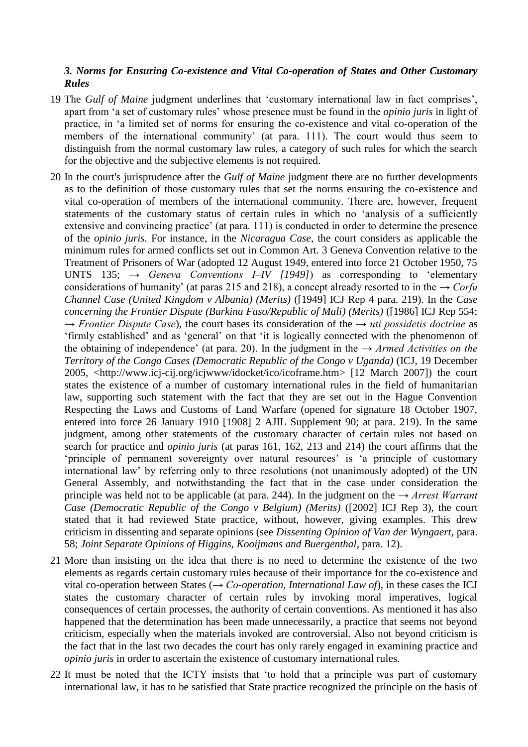### *3. Norms for Ensuring Co-existence and Vital Co-operation of States and Other Customary Rules*

- 19 The *Gulf of Maine* judgment underlines that ‗customary international law in fact comprises', apart from ‗a set of customary rules' whose presence must be found in the *opinio juris* in light of practice, in ‗a limited set of norms for ensuring the co-existence and vital co-operation of the members of the international community' (at para. 111). The court would thus seem to distinguish from the normal customary law rules, a category of such rules for which the search for the objective and the subjective elements is not required.
- 20 In the court's jurisprudence after the *Gulf of Maine* judgment there are no further developments as to the definition of those customary rules that set the norms ensuring the co-existence and vital co-operation of members of the international community. There are, however, frequent statements of the customary status of certain rules in which no 'analysis of a sufficiently extensive and convincing practice' (at para. 111) is conducted in order to determine the presence of the *opinio juris.* For instance, in the *Nicaragua Case*, the court considers as applicable the minimum rules for armed conflicts set out in Common Art. 3 Geneva Convention relative to the Treatment of Prisoners of War (adopted 12 August 1949, entered into force 21 October 1950, 75 UNTS 135;  $\rightarrow$  *Geneva Conventions I–IV [1949]*) as corresponding to 'elementary considerations of humanity' (at paras 215 and 218), a concept already resorted to in the *→ Corfu Channel Case (United Kingdom v Albania) (Merits)* ([1949] ICJ Rep 4 para. 219). In the *Case concerning the Frontier Dispute (Burkina Faso/Republic of Mali) (Merits)* ([1986] ICJ Rep 554; *→ Frontier Dispute Case*), the court bases its consideration of the *→ uti possidetis doctrine* as ‗firmly established' and as ‗general' on that ‗it is logically connected with the phenomenon of the obtaining of independence' (at para. 20). In the judgment in the *→ Armed Activities on the Territory of the Congo Cases (Democratic Republic of the Congo v Uganda)* (ICJ, 19 December 2005, <http://www.icj-cij.org/icjwww/idocket/ico/icoframe.htm> [12 March 2007]) the court states the existence of a number of customary international rules in the field of humanitarian law, supporting such statement with the fact that they are set out in the Hague Convention Respecting the Laws and Customs of Land Warfare (opened for signature 18 October 1907, entered into force 26 January 1910 [1908] 2 AJIL Supplement 90; at para. 219). In the same judgment, among other statements of the customary character of certain rules not based on search for practice and *opinio juris* (at paras 161, 162, 213 and 214) the court affirms that the 'principle of permanent sovereignty over natural resources' is 'a principle of customary international law' by referring only to three resolutions (not unanimously adopted) of the UN General Assembly, and notwithstanding the fact that in the case under consideration the principle was held not to be applicable (at para. 244). In the judgment on the *→ Arrest Warrant Case (Democratic Republic of the Congo v Belgium) (Merits)* ([2002] ICJ Rep 3), the court stated that it had reviewed State practice, without, however, giving examples. This drew criticism in dissenting and separate opinions (see *Dissenting Opinion of Van der Wyngaert*, para. 58; *Joint Separate Opinions of Higgins, Kooijmans and Buergenthal*, para. 12).
- 21 More than insisting on the idea that there is no need to determine the existence of the two elements as regards certain customary rules because of their importance for the co-existence and vital co-operation between States (*→ Co-operation, International Law of*), in these cases the ICJ states the customary character of certain rules by invoking moral imperatives, logical consequences of certain processes, the authority of certain conventions. As mentioned it has also happened that the determination has been made unnecessarily, a practice that seems not beyond criticism, especially when the materials invoked are controversial. Also not beyond criticism is the fact that in the last two decades the court has only rarely engaged in examining practice and *opinio juris* in order to ascertain the existence of customary international rules.
- 22 It must be noted that the ICTY insists that 'to hold that a principle was part of customary international law, it has to be satisfied that State practice recognized the principle on the basis of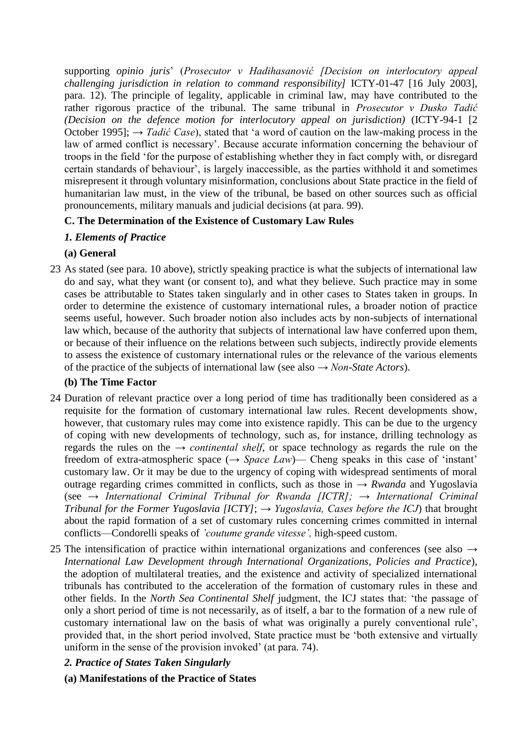supporting *opinio juris*' (*Prosecutor v Hadihasanović [Decision on interlocutory appeal challenging jurisdiction in relation to command responsibility]* ICTY-01-47 [16 July 2003], para. 12). The principle of legality, applicable in criminal law, may have contributed to the rather rigorous practice of the tribunal. The same tribunal in *Prosecutor v Dusko Tadić (Decision on the defence motion for interlocutory appeal on jurisdiction)* (ICTY-94-1 [2 October 1995];  $\rightarrow$  *Tadić Case*), stated that 'a word of caution on the law-making process in the law of armed conflict is necessary'. Because accurate information concerning the behaviour of troops in the field ‗for the purpose of establishing whether they in fact comply with, or disregard certain standards of behaviour', is largely inaccessible, as the parties withhold it and sometimes misrepresent it through voluntary misinformation, conclusions about State practice in the field of humanitarian law must, in the view of the tribunal, be based on other sources such as official pronouncements, military manuals and judicial decisions (at para. 99).

# **C. The Determination of the Existence of Customary Law Rules**

# *1. Elements of Practice*

# **(a) General**

23 As stated (see para. 10 above), strictly speaking practice is what the subjects of international law do and say, what they want (or consent to), and what they believe. Such practice may in some cases be attributable to States taken singularly and in other cases to States taken in groups. In order to determine the existence of customary international rules, a broader notion of practice seems useful, however. Such broader notion also includes acts by non-subjects of international law which, because of the authority that subjects of international law have conferred upon them, or because of their influence on the relations between such subjects, indirectly provide elements to assess the existence of customary international rules or the relevance of the various elements of the practice of the subjects of international law (see also *→ Non-State Actors*).

### **(b) The Time Factor**

- 24 Duration of relevant practice over a long period of time has traditionally been considered as a requisite for the formation of customary international law rules. Recent developments show, however, that customary rules may come into existence rapidly. This can be due to the urgency of coping with new developments of technology, such as, for instance, drilling technology as regards the rules on the  $\rightarrow$  *continental shelf*, or space technology as regards the rule on the freedom of extra-atmospheric space  $(\rightarrow$  *Space Law*)— Cheng speaks in this case of 'instant' customary law. Or it may be due to the urgency of coping with widespread sentiments of moral outrage regarding crimes committed in conflicts, such as those in *→ Rwanda* and Yugoslavia (see *→ International Criminal Tribunal for Rwanda [ICTR]; → International Criminal Tribunal for the Former Yugoslavia [ICTY]*; *→ Yugoslavia, Cases before the ICJ*) that brought about the rapid formation of a set of customary rules concerning crimes committed in internal conflicts—Condorelli speaks of *'coutume grande vitesse',* high-speed custom.
- 25 The intensification of practice within international organizations and conferences (see also *→ International Law Development through International Organizations, Policies and Practice*), the adoption of multilateral treaties, and the existence and activity of specialized international tribunals has contributed to the acceleration of the formation of customary rules in these and other fields. In the *North Sea Continental Shelf* judgment, the ICJ states that: 'the passage of only a short period of time is not necessarily, as of itself, a bar to the formation of a new rule of customary international law on the basis of what was originally a purely conventional rule', provided that, in the short period involved, State practice must be 'both extensive and virtually uniform in the sense of the provision invoked' (at para. 74).

# *2. Practice of States Taken Singularly*

**(a) Manifestations of the Practice of States**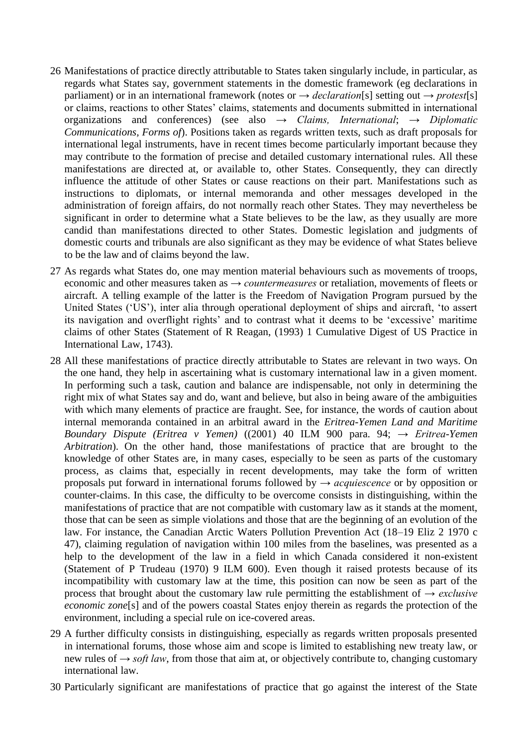- 26 Manifestations of practice directly attributable to States taken singularly include, in particular, as regards what States say, government statements in the domestic framework (eg declarations in parliament) or in an international framework (notes or *→ declaration*[s] setting out *→ protest*[s] or claims, reactions to other States' claims, statements and documents submitted in international organizations and conferences) (see also *→ Claims, International*; *→ Diplomatic Communications, Forms of*). Positions taken as regards written texts, such as draft proposals for international legal instruments, have in recent times become particularly important because they may contribute to the formation of precise and detailed customary international rules. All these manifestations are directed at, or available to, other States. Consequently, they can directly influence the attitude of other States or cause reactions on their part. Manifestations such as instructions to diplomats, or internal memoranda and other messages developed in the administration of foreign affairs, do not normally reach other States. They may nevertheless be significant in order to determine what a State believes to be the law, as they usually are more candid than manifestations directed to other States. Domestic legislation and judgments of domestic courts and tribunals are also significant as they may be evidence of what States believe to be the law and of claims beyond the law.
- 27 As regards what States do, one may mention material behaviours such as movements of troops, economic and other measures taken as *→ countermeasures* or retaliation, movements of fleets or aircraft. A telling example of the latter is the Freedom of Navigation Program pursued by the United States (‗US'), inter alia through operational deployment of ships and aircraft, ‗to assert its navigation and overflight rights' and to contrast what it deems to be 'excessive' maritime claims of other States (Statement of R Reagan, (1993) 1 Cumulative Digest of US Practice in International Law, 1743).
- 28 All these manifestations of practice directly attributable to States are relevant in two ways. On the one hand, they help in ascertaining what is customary international law in a given moment. In performing such a task, caution and balance are indispensable, not only in determining the right mix of what States say and do, want and believe, but also in being aware of the ambiguities with which many elements of practice are fraught. See, for instance, the words of caution about internal memoranda contained in an arbitral award in the *Eritrea-Yemen Land and Maritime Boundary Dispute (Eritrea v Yemen)* ((2001) 40 ILM 900 para. 94; *→ Eritrea-Yemen Arbitration*). On the other hand, those manifestations of practice that are brought to the knowledge of other States are, in many cases, especially to be seen as parts of the customary process, as claims that, especially in recent developments, may take the form of written proposals put forward in international forums followed by *→ acquiescence* or by opposition or counter-claims. In this case, the difficulty to be overcome consists in distinguishing, within the manifestations of practice that are not compatible with customary law as it stands at the moment, those that can be seen as simple violations and those that are the beginning of an evolution of the law. For instance, the Canadian Arctic Waters Pollution Prevention Act (18–19 Eliz 2 1970 c 47), claiming regulation of navigation within 100 miles from the baselines, was presented as a help to the development of the law in a field in which Canada considered it non-existent (Statement of P Trudeau (1970) 9 ILM 600). Even though it raised protests because of its incompatibility with customary law at the time, this position can now be seen as part of the process that brought about the customary law rule permitting the establishment of *→ exclusive economic zone*[s] and of the powers coastal States enjoy therein as regards the protection of the environment, including a special rule on ice-covered areas.
- 29 A further difficulty consists in distinguishing, especially as regards written proposals presented in international forums, those whose aim and scope is limited to establishing new treaty law, or new rules of *→ soft law*, from those that aim at, or objectively contribute to, changing customary international law.
- 30 Particularly significant are manifestations of practice that go against the interest of the State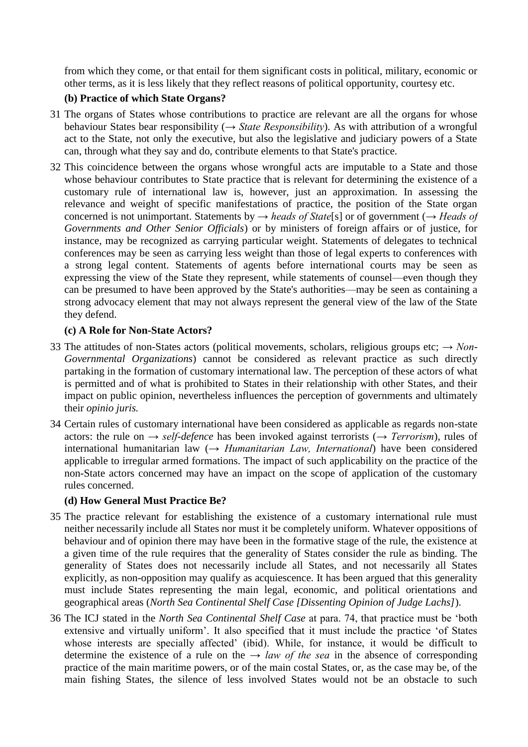from which they come, or that entail for them significant costs in political, military, economic or other terms, as it is less likely that they reflect reasons of political opportunity, courtesy etc.

# **(b) Practice of which State Organs?**

- 31 The organs of States whose contributions to practice are relevant are all the organs for whose behaviour States bear responsibility (*→ State Responsibility*). As with attribution of a wrongful act to the State, not only the executive, but also the legislative and judiciary powers of a State can, through what they say and do, contribute elements to that State's practice.
- 32 This coincidence between the organs whose wrongful acts are imputable to a State and those whose behaviour contributes to State practice that is relevant for determining the existence of a customary rule of international law is, however, just an approximation. In assessing the relevance and weight of specific manifestations of practice, the position of the State organ concerned is not unimportant. Statements by *→ heads of State*[s] or of government (*→ Heads of Governments and Other Senior Officials*) or by ministers of foreign affairs or of justice, for instance, may be recognized as carrying particular weight. Statements of delegates to technical conferences may be seen as carrying less weight than those of legal experts to conferences with a strong legal content. Statements of agents before international courts may be seen as expressing the view of the State they represent, while statements of counsel—even though they can be presumed to have been approved by the State's authorities—may be seen as containing a strong advocacy element that may not always represent the general view of the law of the State they defend.

### **(c) A Role for Non-State Actors?**

- 33 The attitudes of non-States actors (political movements, scholars, religious groups etc; *→ Non-Governmental Organizations*) cannot be considered as relevant practice as such directly partaking in the formation of customary international law. The perception of these actors of what is permitted and of what is prohibited to States in their relationship with other States, and their impact on public opinion, nevertheless influences the perception of governments and ultimately their *opinio juris.*
- 34 Certain rules of customary international have been considered as applicable as regards non-state actors: the rule on *→ self-defence* has been invoked against terrorists (*→ Terrorism*), rules of international humanitarian law (*→ Humanitarian Law, International*) have been considered applicable to irregular armed formations. The impact of such applicability on the practice of the non-State actors concerned may have an impact on the scope of application of the customary rules concerned.

# **(d) How General Must Practice Be?**

- 35 The practice relevant for establishing the existence of a customary international rule must neither necessarily include all States nor must it be completely uniform. Whatever oppositions of behaviour and of opinion there may have been in the formative stage of the rule, the existence at a given time of the rule requires that the generality of States consider the rule as binding. The generality of States does not necessarily include all States, and not necessarily all States explicitly, as non-opposition may qualify as acquiescence. It has been argued that this generality must include States representing the main legal, economic, and political orientations and geographical areas (*North Sea Continental Shelf Case [Dissenting Opinion of Judge Lachs]*).
- 36 The ICJ stated in the *North Sea Continental Shelf Case* at para. 74, that practice must be ‗both extensive and virtually uniform'. It also specified that it must include the practice 'of States' whose interests are specially affected' (ibid). While, for instance, it would be difficult to determine the existence of a rule on the  $\rightarrow$  *law of the sea* in the absence of corresponding practice of the main maritime powers, or of the main costal States, or, as the case may be, of the main fishing States, the silence of less involved States would not be an obstacle to such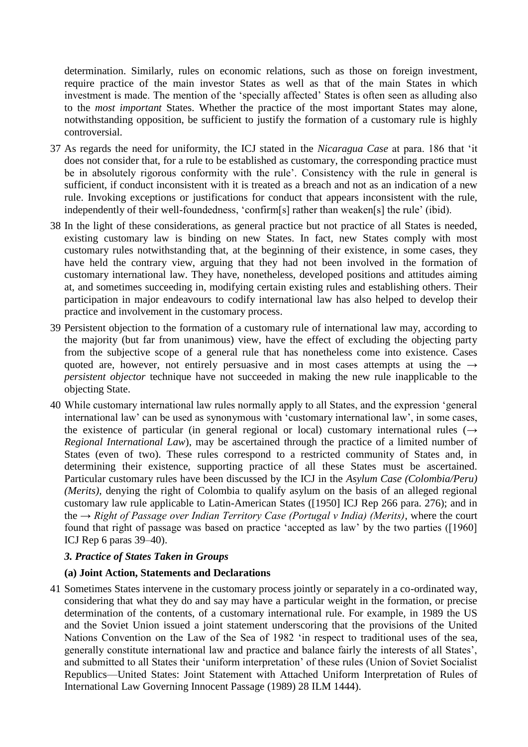determination. Similarly, rules on economic relations, such as those on foreign investment, require practice of the main investor States as well as that of the main States in which investment is made. The mention of the 'specially affected' States is often seen as alluding also to the *most important* States. Whether the practice of the most important States may alone, notwithstanding opposition, be sufficient to justify the formation of a customary rule is highly controversial.

- 37 As regards the need for uniformity, the ICJ stated in the *Nicaragua Case* at para. 186 that ‗it does not consider that, for a rule to be established as customary, the corresponding practice must be in absolutely rigorous conformity with the rule'. Consistency with the rule in general is sufficient, if conduct inconsistent with it is treated as a breach and not as an indication of a new rule. Invoking exceptions or justifications for conduct that appears inconsistent with the rule, independently of their well-foundedness, 'confirm[s] rather than weaken[s] the rule' (ibid).
- 38 In the light of these considerations, as general practice but not practice of all States is needed, existing customary law is binding on new States. In fact, new States comply with most customary rules notwithstanding that, at the beginning of their existence, in some cases, they have held the contrary view, arguing that they had not been involved in the formation of customary international law. They have, nonetheless, developed positions and attitudes aiming at, and sometimes succeeding in, modifying certain existing rules and establishing others. Their participation in major endeavours to codify international law has also helped to develop their practice and involvement in the customary process.
- 39 Persistent objection to the formation of a customary rule of international law may, according to the majority (but far from unanimous) view, have the effect of excluding the objecting party from the subjective scope of a general rule that has nonetheless come into existence. Cases quoted are, however, not entirely persuasive and in most cases attempts at using the *→ persistent objector* technique have not succeeded in making the new rule inapplicable to the objecting State.
- 40 While customary international law rules normally apply to all States, and the expression ‗general international law' can be used as synonymous with ‗customary international law', in some cases, the existence of particular (in general regional or local) customary international rules (*→ Regional International Law*), may be ascertained through the practice of a limited number of States (even of two). These rules correspond to a restricted community of States and, in determining their existence, supporting practice of all these States must be ascertained. Particular customary rules have been discussed by the ICJ in the *Asylum Case (Colombia/Peru) (Merits)*, denying the right of Colombia to qualify asylum on the basis of an alleged regional customary law rule applicable to Latin-American States ([1950] ICJ Rep 266 para. 276); and in the *→ Right of Passage over Indian Territory Case (Portugal v India) (Merits)*, where the court found that right of passage was based on practice 'accepted as law' by the two parties ([1960] ICJ Rep 6 paras 39–40).

### *3. Practice of States Taken in Groups*

#### **(a) Joint Action, Statements and Declarations**

41 Sometimes States intervene in the customary process jointly or separately in a co-ordinated way, considering that what they do and say may have a particular weight in the formation, or precise determination of the contents, of a customary international rule. For example, in 1989 the US and the Soviet Union issued a joint statement underscoring that the provisions of the United Nations Convention on the Law of the Sea of 1982 'in respect to traditional uses of the sea, generally constitute international law and practice and balance fairly the interests of all States', and submitted to all States their 'uniform interpretation' of these rules (Union of Soviet Socialist Republics—United States: Joint Statement with Attached Uniform Interpretation of Rules of International Law Governing Innocent Passage (1989) 28 ILM 1444).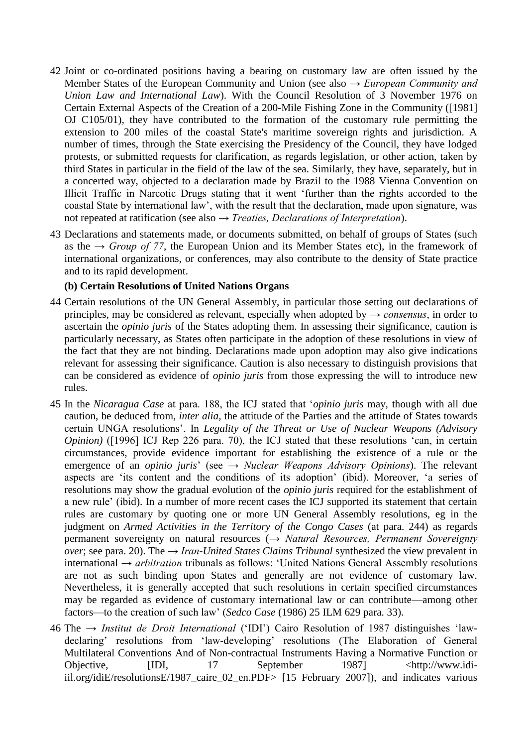- 42 Joint or co-ordinated positions having a bearing on customary law are often issued by the Member States of the European Community and Union (see also *→ European Community and Union Law and International Law*). With the Council Resolution of 3 November 1976 on Certain External Aspects of the Creation of a 200-Mile Fishing Zone in the Community ([1981] OJ C105/01), they have contributed to the formation of the customary rule permitting the extension to 200 miles of the coastal State's maritime sovereign rights and jurisdiction. A number of times, through the State exercising the Presidency of the Council, they have lodged protests, or submitted requests for clarification, as regards legislation, or other action, taken by third States in particular in the field of the law of the sea. Similarly, they have, separately, but in a concerted way, objected to a declaration made by Brazil to the 1988 Vienna Convention on Illicit Traffic in Narcotic Drugs stating that it went ‗further than the rights accorded to the coastal State by international law', with the result that the declaration, made upon signature, was not repeated at ratification (see also *→ Treaties, Declarations of Interpretation*).
- 43 Declarations and statements made, or documents submitted, on behalf of groups of States (such as the  $\rightarrow$  *Group of 77*, the European Union and its Member States etc), in the framework of international organizations, or conferences, may also contribute to the density of State practice and to its rapid development.

#### **(b) Certain Resolutions of United Nations Organs**

- 44 Certain resolutions of the UN General Assembly, in particular those setting out declarations of principles, may be considered as relevant, especially when adopted by *→ consensus*, in order to ascertain the *opinio juris* of the States adopting them. In assessing their significance, caution is particularly necessary, as States often participate in the adoption of these resolutions in view of the fact that they are not binding. Declarations made upon adoption may also give indications relevant for assessing their significance. Caution is also necessary to distinguish provisions that can be considered as evidence of *opinio juris* from those expressing the will to introduce new rules.
- 45 In the *Nicaragua Case* at para. 188, the ICJ stated that ‗*opinio juris* may*,* though with all due caution, be deduced from, *inter alia,* the attitude of the Parties and the attitude of States towards certain UNGA resolutions'. In *Legality of the Threat or Use of Nuclear Weapons (Advisory Opinion*) ([1996] ICJ Rep 226 para. 70), the ICJ stated that these resolutions 'can, in certain circumstances, provide evidence important for establishing the existence of a rule or the emergence of an *opinio juris*' (see *→ Nuclear Weapons Advisory Opinions*). The relevant aspects are 'its content and the conditions of its adoption' (ibid). Moreover, 'a series of resolutions may show the gradual evolution of the *opinio juris* required for the establishment of a new rule' (ibid). In a number of more recent cases the ICJ supported its statement that certain rules are customary by quoting one or more UN General Assembly resolutions, eg in the judgment on *Armed Activities in the Territory of the Congo Cases* (at para. 244) as regards permanent sovereignty on natural resources (*→ Natural Resources, Permanent Sovereignty over*; see para. 20). The *→ Iran-United States Claims Tribunal* synthesized the view prevalent in international *→ arbitration* tribunals as follows: ‗United Nations General Assembly resolutions are not as such binding upon States and generally are not evidence of customary law. Nevertheless, it is generally accepted that such resolutions in certain specified circumstances may be regarded as evidence of customary international law or can contribute—among other factors—to the creation of such law' (*Sedco Case* (1986) 25 ILM 629 para. 33).
- 46 The *→ Institut de Droit International* (‗IDI') Cairo Resolution of 1987 distinguishes ‗lawdeclaring' resolutions from 'law-developing' resolutions (The Elaboration of General Multilateral Conventions And of Non-contractual Instruments Having a Normative Function or Objective, [IDI, 17 September 1987] <http://www.idiiil.org/idiE/resolutionsE/1987\_caire\_02\_en.PDF> [15 February 2007]), and indicates various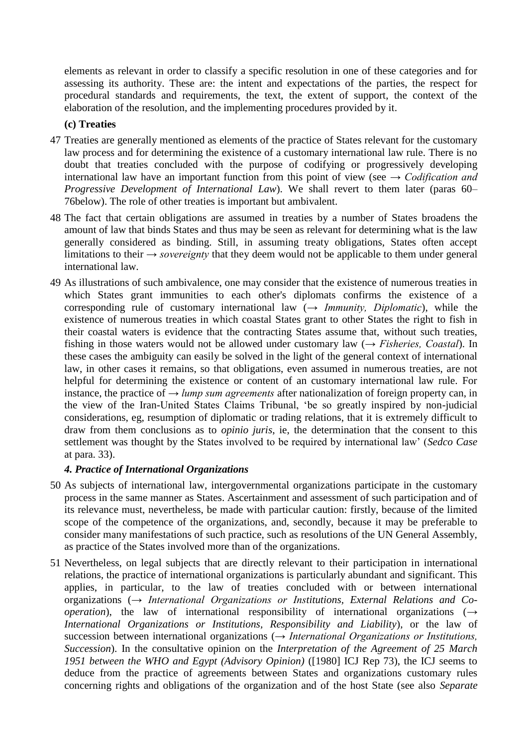elements as relevant in order to classify a specific resolution in one of these categories and for assessing its authority. These are: the intent and expectations of the parties, the respect for procedural standards and requirements, the text, the extent of support, the context of the elaboration of the resolution, and the implementing procedures provided by it.

#### **(c) Treaties**

- 47 Treaties are generally mentioned as elements of the practice of States relevant for the customary law process and for determining the existence of a customary international law rule. There is no doubt that treaties concluded with the purpose of codifying or progressively developing international law have an important function from this point of view (see *→ Codification and Progressive Development of International Law*). We shall revert to them later (paras 60– 76below). The role of other treaties is important but ambivalent.
- 48 The fact that certain obligations are assumed in treaties by a number of States broadens the amount of law that binds States and thus may be seen as relevant for determining what is the law generally considered as binding. Still, in assuming treaty obligations, States often accept limitations to their *→ sovereignty* that they deem would not be applicable to them under general international law.
- 49 As illustrations of such ambivalence, one may consider that the existence of numerous treaties in which States grant immunities to each other's diplomats confirms the existence of a corresponding rule of customary international law  $(\rightarrow Immunity, Diplomatic)$ , while the existence of numerous treaties in which coastal States grant to other States the right to fish in their coastal waters is evidence that the contracting States assume that, without such treaties, fishing in those waters would not be allowed under customary law (*→ Fisheries, Coastal*). In these cases the ambiguity can easily be solved in the light of the general context of international law, in other cases it remains, so that obligations, even assumed in numerous treaties, are not helpful for determining the existence or content of an customary international law rule. For instance, the practice of *→ lump sum agreements* after nationalization of foreign property can, in the view of the Iran-United States Claims Tribunal, ‗be so greatly inspired by non-judicial considerations, eg, resumption of diplomatic or trading relations, that it is extremely difficult to draw from them conclusions as to *opinio juris*, ie, the determination that the consent to this settlement was thought by the States involved to be required by international law' (*Sedco Case* at para. 33).

#### *4. Practice of International Organizations*

- 50 As subjects of international law, intergovernmental organizations participate in the customary process in the same manner as States. Ascertainment and assessment of such participation and of its relevance must, nevertheless, be made with particular caution: firstly, because of the limited scope of the competence of the organizations, and, secondly, because it may be preferable to consider many manifestations of such practice, such as resolutions of the UN General Assembly, as practice of the States involved more than of the organizations.
- 51 Nevertheless, on legal subjects that are directly relevant to their participation in international relations, the practice of international organizations is particularly abundant and significant. This applies, in particular, to the law of treaties concluded with or between international organizations (*→ International Organizations or Institutions, External Relations and Cooperation*), the law of international responsibility of international organizations (*→ International Organizations or Institutions, Responsibility and Liability*), or the law of succession between international organizations (*→ International Organizations or Institutions, Succession*). In the consultative opinion on the *Interpretation of the Agreement of 25 March 1951 between the WHO and Egypt (Advisory Opinion)* ([1980] ICJ Rep 73), the ICJ seems to deduce from the practice of agreements between States and organizations customary rules concerning rights and obligations of the organization and of the host State (see also *Separate*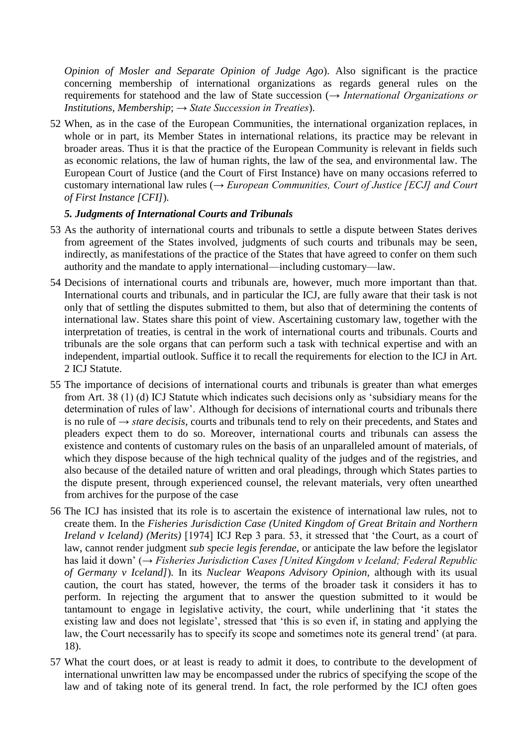*Opinion of Mosler and Separate Opinion of Judge Ago*). Also significant is the practice concerning membership of international organizations as regards general rules on the requirements for statehood and the law of State succession (*→ International Organizations or Institutions, Membership*; *→ State Succession in Treaties*).

52 When, as in the case of the European Communities, the international organization replaces, in whole or in part, its Member States in international relations, its practice may be relevant in broader areas. Thus it is that the practice of the European Community is relevant in fields such as economic relations, the law of human rights, the law of the sea, and environmental law. The European Court of Justice (and the Court of First Instance) have on many occasions referred to customary international law rules (*→ European Communities, Court of Justice [ECJ] and Court of First Instance [CFI]*).

### *5. Judgments of International Courts and Tribunals*

- 53 As the authority of international courts and tribunals to settle a dispute between States derives from agreement of the States involved, judgments of such courts and tribunals may be seen, indirectly, as manifestations of the practice of the States that have agreed to confer on them such authority and the mandate to apply international—including customary—law.
- 54 Decisions of international courts and tribunals are, however, much more important than that. International courts and tribunals, and in particular the ICJ, are fully aware that their task is not only that of settling the disputes submitted to them, but also that of determining the contents of international law. States share this point of view. Ascertaining customary law, together with the interpretation of treaties, is central in the work of international courts and tribunals. Courts and tribunals are the sole organs that can perform such a task with technical expertise and with an independent, impartial outlook. Suffice it to recall the requirements for election to the ICJ in Art. 2 ICJ Statute.
- 55 The importance of decisions of international courts and tribunals is greater than what emerges from Art. 38 (1) (d) ICJ Statute which indicates such decisions only as 'subsidiary means for the determination of rules of law'. Although for decisions of international courts and tribunals there is no rule of *→ stare decisis*, courts and tribunals tend to rely on their precedents, and States and pleaders expect them to do so. Moreover, international courts and tribunals can assess the existence and contents of customary rules on the basis of an unparalleled amount of materials, of which they dispose because of the high technical quality of the judges and of the registries, and also because of the detailed nature of written and oral pleadings, through which States parties to the dispute present, through experienced counsel, the relevant materials, very often unearthed from archives for the purpose of the case
- 56 The ICJ has insisted that its role is to ascertain the existence of international law rules, not to create them. In the *Fisheries Jurisdiction Case (United Kingdom of Great Britain and Northern Ireland v Iceland) (Merits)* [1974] ICJ Rep 3 para. 53, it stressed that 'the Court, as a court of law, cannot render judgment *sub specie legis ferendae*, or anticipate the law before the legislator has laid it down' (*→ Fisheries Jurisdiction Cases [United Kingdom v Iceland; Federal Republic of Germany v Iceland]*). In its *Nuclear Weapons Advisory Opinion,* although with its usual caution, the court has stated, however, the terms of the broader task it considers it has to perform. In rejecting the argument that to answer the question submitted to it would be tantamount to engage in legislative activity, the court, while underlining that ‗it states the existing law and does not legislate', stressed that 'this is so even if, in stating and applying the law, the Court necessarily has to specify its scope and sometimes note its general trend' (at para. 18).
- 57 What the court does, or at least is ready to admit it does, to contribute to the development of international unwritten law may be encompassed under the rubrics of specifying the scope of the law and of taking note of its general trend. In fact, the role performed by the ICJ often goes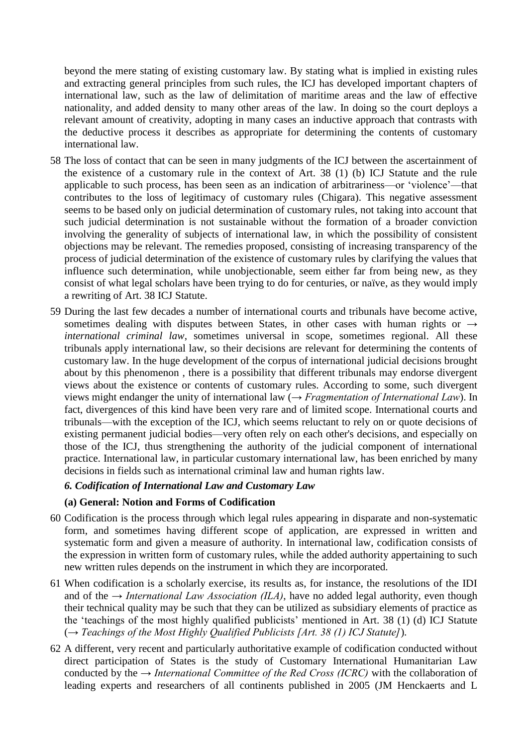beyond the mere stating of existing customary law. By stating what is implied in existing rules and extracting general principles from such rules, the ICJ has developed important chapters of international law, such as the law of delimitation of maritime areas and the law of effective nationality, and added density to many other areas of the law. In doing so the court deploys a relevant amount of creativity, adopting in many cases an inductive approach that contrasts with the deductive process it describes as appropriate for determining the contents of customary international law.

- 58 The loss of contact that can be seen in many judgments of the ICJ between the ascertainment of the existence of a customary rule in the context of Art. 38 (1) (b) ICJ Statute and the rule applicable to such process, has been seen as an indication of arbitrariness—or 'violence'—that contributes to the loss of legitimacy of customary rules (Chigara). This negative assessment seems to be based only on judicial determination of customary rules, not taking into account that such judicial determination is not sustainable without the formation of a broader conviction involving the generality of subjects of international law, in which the possibility of consistent objections may be relevant. The remedies proposed, consisting of increasing transparency of the process of judicial determination of the existence of customary rules by clarifying the values that influence such determination, while unobjectionable, seem either far from being new, as they consist of what legal scholars have been trying to do for centuries, or naïve, as they would imply a rewriting of Art. 38 ICJ Statute.
- 59 During the last few decades a number of international courts and tribunals have become active, sometimes dealing with disputes between States, in other cases with human rights or *→ international criminal law*, sometimes universal in scope, sometimes regional. All these tribunals apply international law, so their decisions are relevant for determining the contents of customary law. In the huge development of the corpus of international judicial decisions brought about by this phenomenon , there is a possibility that different tribunals may endorse divergent views about the existence or contents of customary rules. According to some, such divergent views might endanger the unity of international law (*→ Fragmentation of International Law*). In fact, divergences of this kind have been very rare and of limited scope. International courts and tribunals—with the exception of the ICJ, which seems reluctant to rely on or quote decisions of existing permanent judicial bodies—very often rely on each other's decisions, and especially on those of the ICJ, thus strengthening the authority of the judicial component of international practice. International law, in particular customary international law, has been enriched by many decisions in fields such as international criminal law and human rights law.

#### *6. Codification of International Law and Customary Law*

#### **(a) General: Notion and Forms of Codification**

- 60 Codification is the process through which legal rules appearing in disparate and non-systematic form, and sometimes having different scope of application, are expressed in written and systematic form and given a measure of authority. In international law, codification consists of the expression in written form of customary rules, while the added authority appertaining to such new written rules depends on the instrument in which they are incorporated.
- 61 When codification is a scholarly exercise, its results as, for instance, the resolutions of the IDI and of the  $\rightarrow$  *International Law Association (ILA)*, have no added legal authority, even though their technical quality may be such that they can be utilized as subsidiary elements of practice as the ‗teachings of the most highly qualified publicists' mentioned in Art. 38 (1) (d) ICJ Statute (*→ Teachings of the Most Highly Qualified Publicists [Art. 38 (1) ICJ Statute]*).
- 62 A different, very recent and particularly authoritative example of codification conducted without direct participation of States is the study of Customary International Humanitarian Law conducted by the *→ International Committee of the Red Cross (ICRC)* with the collaboration of leading experts and researchers of all continents published in 2005 (JM Henckaerts and L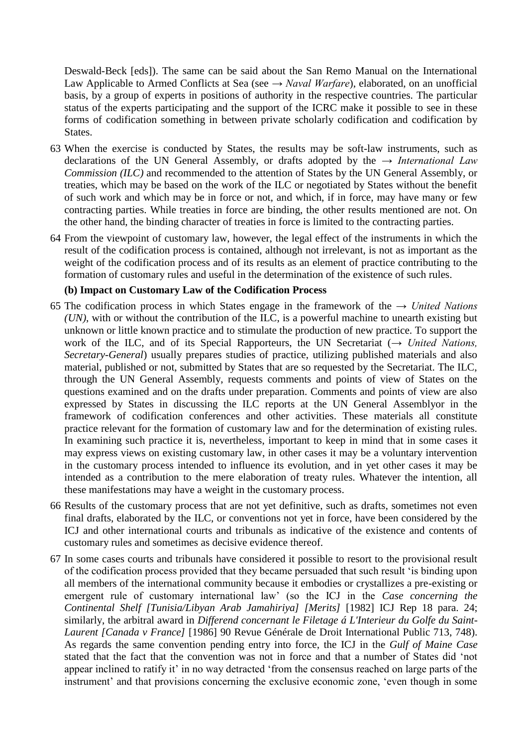Deswald-Beck [eds]). The same can be said about the San Remo Manual on the International Law Applicable to Armed Conflicts at Sea (see *→ Naval Warfare*), elaborated, on an unofficial basis, by a group of experts in positions of authority in the respective countries. The particular status of the experts participating and the support of the ICRC make it possible to see in these forms of codification something in between private scholarly codification and codification by States.

- 63 When the exercise is conducted by States, the results may be soft-law instruments, such as declarations of the UN General Assembly, or drafts adopted by the *→ International Law Commission (ILC)* and recommended to the attention of States by the UN General Assembly, or treaties, which may be based on the work of the ILC or negotiated by States without the benefit of such work and which may be in force or not, and which, if in force, may have many or few contracting parties. While treaties in force are binding, the other results mentioned are not. On the other hand, the binding character of treaties in force is limited to the contracting parties.
- 64 From the viewpoint of customary law, however, the legal effect of the instruments in which the result of the codification process is contained, although not irrelevant, is not as important as the weight of the codification process and of its results as an element of practice contributing to the formation of customary rules and useful in the determination of the existence of such rules.

#### **(b) Impact on Customary Law of the Codification Process**

- 65 The codification process in which States engage in the framework of the *→ United Nations (UN)*, with or without the contribution of the ILC, is a powerful machine to unearth existing but unknown or little known practice and to stimulate the production of new practice. To support the work of the ILC, and of its Special Rapporteurs, the UN Secretariat (*→ United Nations, Secretary-General*) usually prepares studies of practice, utilizing published materials and also material, published or not, submitted by States that are so requested by the Secretariat. The ILC, through the UN General Assembly, requests comments and points of view of States on the questions examined and on the drafts under preparation. Comments and points of view are also expressed by States in discussing the ILC reports at the UN General Assemblyor in the framework of codification conferences and other activities. These materials all constitute practice relevant for the formation of customary law and for the determination of existing rules. In examining such practice it is, nevertheless, important to keep in mind that in some cases it may express views on existing customary law, in other cases it may be a voluntary intervention in the customary process intended to influence its evolution, and in yet other cases it may be intended as a contribution to the mere elaboration of treaty rules. Whatever the intention, all these manifestations may have a weight in the customary process.
- 66 Results of the customary process that are not yet definitive, such as drafts, sometimes not even final drafts, elaborated by the ILC, or conventions not yet in force, have been considered by the ICJ and other international courts and tribunals as indicative of the existence and contents of customary rules and sometimes as decisive evidence thereof.
- 67 In some cases courts and tribunals have considered it possible to resort to the provisional result of the codification process provided that they became persuaded that such result ‗is binding upon all members of the international community because it embodies or crystallizes a pre-existing or emergent rule of customary international law' (so the ICJ in the *Case concerning the Continental Shelf [Tunisia/Libyan Arab Jamahiriya] [Merits]* [1982] ICJ Rep 18 para. 24; similarly, the arbitral award in *Differend concernant le Filetage á L'Interieur du Golfe du Saint-Laurent [Canada v France]* [1986] 90 Revue Générale de Droit International Public 713, 748). As regards the same convention pending entry into force, the ICJ in the *Gulf of Maine Case* stated that the fact that the convention was not in force and that a number of States did 'not appear inclined to ratify it' in no way detracted 'from the consensus reached on large parts of the instrument' and that provisions concerning the exclusive economic zone, 'even though in some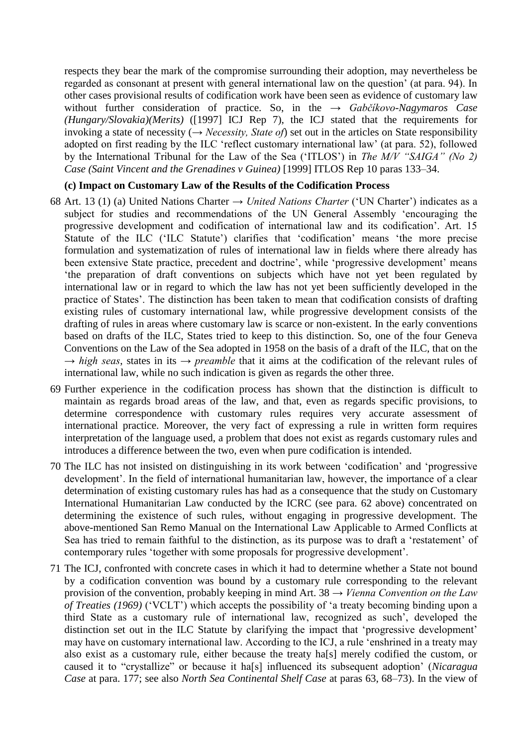respects they bear the mark of the compromise surrounding their adoption, may nevertheless be regarded as consonant at present with general international law on the question' (at para. 94). In other cases provisional results of codification work have been seen as evidence of customary law without further consideration of practice. So, in the *→ Gabčíkovo-Nagymaros Case (Hungary/Slovakia)(Merits)* ([1997] ICJ Rep 7), the ICJ stated that the requirements for invoking a state of necessity (*→ Necessity, State of*) set out in the articles on State responsibility adopted on first reading by the ILC 'reflect customary international law' (at para. 52), followed by the International Tribunal for the Law of the Sea ('ITLOS') in *The M/V "SAIGA" (No 2) Case (Saint Vincent and the Grenadines v Guinea)* [1999] ITLOS Rep 10 paras 133–34.

#### **(c) Impact on Customary Law of the Results of the Codification Process**

- 68 Art. 13 (1) (a) United Nations Charter *→ United Nations Charter* (‗UN Charter') indicates as a subject for studies and recommendations of the UN General Assembly 'encouraging the progressive development and codification of international law and its codification'. Art. 15 Statute of the ILC ('ILC Statute') clarifies that 'codification' means 'the more precise formulation and systematization of rules of international law in fields where there already has been extensive State practice, precedent and doctrine', while 'progressive development' means ‗the preparation of draft conventions on subjects which have not yet been regulated by international law or in regard to which the law has not yet been sufficiently developed in the practice of States'. The distinction has been taken to mean that codification consists of drafting existing rules of customary international law, while progressive development consists of the drafting of rules in areas where customary law is scarce or non-existent. In the early conventions based on drafts of the ILC, States tried to keep to this distinction. So, one of the four Geneva Conventions on the Law of the Sea adopted in 1958 on the basis of a draft of the ILC, that on the *→ high seas*, states in its *→ preamble* that it aims at the codification of the relevant rules of international law, while no such indication is given as regards the other three.
- 69 Further experience in the codification process has shown that the distinction is difficult to maintain as regards broad areas of the law, and that, even as regards specific provisions, to determine correspondence with customary rules requires very accurate assessment of international practice. Moreover, the very fact of expressing a rule in written form requires interpretation of the language used, a problem that does not exist as regards customary rules and introduces a difference between the two, even when pure codification is intended.
- 70 The ILC has not insisted on distinguishing in its work between 'codification' and 'progressive development'. In the field of international humanitarian law, however, the importance of a clear determination of existing customary rules has had as a consequence that the study on Customary International Humanitarian Law conducted by the ICRC (see para. 62 above) concentrated on determining the existence of such rules, without engaging in progressive development. The above-mentioned San Remo Manual on the International Law Applicable to Armed Conflicts at Sea has tried to remain faithful to the distinction, as its purpose was to draft a 'restatement' of contemporary rules 'together with some proposals for progressive development'.
- 71 The ICJ, confronted with concrete cases in which it had to determine whether a State not bound by a codification convention was bound by a customary rule corresponding to the relevant provision of the convention, probably keeping in mind Art. 38 *→ Vienna Convention on the Law of Treaties (1969)* ('VCLT') which accepts the possibility of 'a treaty becoming binding upon a third State as a customary rule of international law, recognized as such', developed the distinction set out in the ILC Statute by clarifying the impact that 'progressive development' may have on customary international law. According to the ICJ, a rule ‗enshrined in a treaty may also exist as a customary rule, either because the treaty ha[s] merely codified the custom, or caused it to "crystallize" or because it ha<sup>[s]</sup> influenced its subsequent adoption' (*Nicaragua Case* at para. 177; see also *North Sea Continental Shelf Case* at paras 63, 68–73). In the view of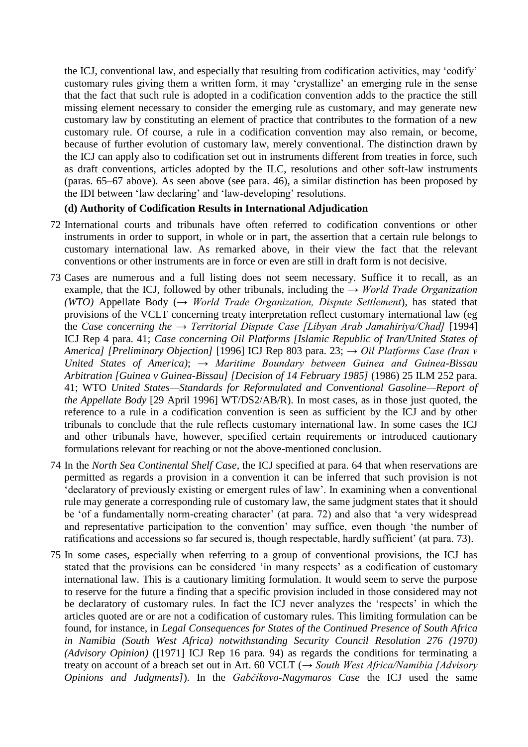the ICJ, conventional law, and especially that resulting from codification activities, may 'codify' customary rules giving them a written form, it may 'crystallize' an emerging rule in the sense that the fact that such rule is adopted in a codification convention adds to the practice the still missing element necessary to consider the emerging rule as customary, and may generate new customary law by constituting an element of practice that contributes to the formation of a new customary rule. Of course, a rule in a codification convention may also remain, or become, because of further evolution of customary law, merely conventional. The distinction drawn by the ICJ can apply also to codification set out in instruments different from treaties in force, such as draft conventions, articles adopted by the ILC, resolutions and other soft-law instruments (paras. 65–67 above). As seen above (see para. 46), a similar distinction has been proposed by the IDI between 'law declaring' and 'law-developing' resolutions.

### **(d) Authority of Codification Results in International Adjudication**

- 72 International courts and tribunals have often referred to codification conventions or other instruments in order to support, in whole or in part, the assertion that a certain rule belongs to customary international law. As remarked above, in their view the fact that the relevant conventions or other instruments are in force or even are still in draft form is not decisive.
- 73 Cases are numerous and a full listing does not seem necessary. Suffice it to recall, as an example, that the ICJ, followed by other tribunals, including the *→ World Trade Organization (WTO)* Appellate Body (*→ World Trade Organization, Dispute Settlement*), has stated that provisions of the VCLT concerning treaty interpretation reflect customary international law (eg the *Case concerning the → Territorial Dispute Case [Libyan Arab Jamahiriya/Chad]* [1994] ICJ Rep 4 para. 41; *Case concerning Oil Platforms [Islamic Republic of Iran/United States of America] [Preliminary Objection]* [1996] ICJ Rep 803 para. 23; *→ Oil Platforms Case (Iran v United States of America)*; *→ Maritime Boundary between Guinea and Guinea-Bissau Arbitration [Guinea v Guinea-Bissau] [Decision of 14 February 1985]* (1986) 25 ILM 252 para. 41; WTO *United States—Standards for Reformulated and Conventional Gasoline—Report of the Appellate Body* [29 April 1996] WT/DS2/AB/R). In most cases, as in those just quoted, the reference to a rule in a codification convention is seen as sufficient by the ICJ and by other tribunals to conclude that the rule reflects customary international law. In some cases the ICJ and other tribunals have, however, specified certain requirements or introduced cautionary formulations relevant for reaching or not the above-mentioned conclusion.
- 74 In the *North Sea Continental Shelf Case*, the ICJ specified at para. 64 that when reservations are permitted as regards a provision in a convention it can be inferred that such provision is not ‗declaratory of previously existing or emergent rules of law'. In examining when a conventional rule may generate a corresponding rule of customary law, the same judgment states that it should be 'of a fundamentally norm-creating character' (at para. 72) and also that 'a very widespread and representative participation to the convention' may suffice, even though 'the number of ratifications and accessions so far secured is, though respectable, hardly sufficient' (at para. 73).
- 75 In some cases, especially when referring to a group of conventional provisions, the ICJ has stated that the provisions can be considered 'in many respects' as a codification of customary international law. This is a cautionary limiting formulation. It would seem to serve the purpose to reserve for the future a finding that a specific provision included in those considered may not be declaratory of customary rules. In fact the ICJ never analyzes the 'respects' in which the articles quoted are or are not a codification of customary rules. This limiting formulation can be found, for instance, in *Legal Consequences for States of the Continued Presence of South Africa*  in Namibia (South West Africa) notwithstanding Security Council Resolution 276 (1970) *(Advisory Opinion)* ([1971] ICJ Rep 16 para. 94) as regards the conditions for terminating a treaty on account of a breach set out in Art. 60 VCLT (*→ South West Africa/Namibia [Advisory Opinions and Judgments]*). In the *Gabčíkovo-Nagymaros Case* the ICJ used the same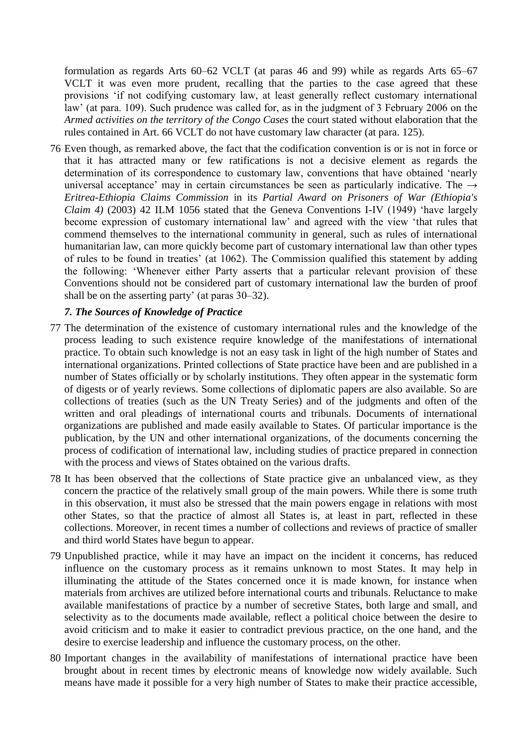formulation as regards Arts 60–62 VCLT (at paras 46 and 99) while as regards Arts 65–67 VCLT it was even more prudent, recalling that the parties to the case agreed that these provisions ‗if not codifying customary law, at least generally reflect customary international law' (at para. 109). Such prudence was called for, as in the judgment of 3 February 2006 on the *Armed activities on the territory of the Congo Cases* the court stated without elaboration that the rules contained in Art. 66 VCLT do not have customary law character (at para. 125).

76 Even though, as remarked above, the fact that the codification convention is or is not in force or that it has attracted many or few ratifications is not a decisive element as regards the determination of its correspondence to customary law, conventions that have obtained 'nearly universal acceptance' may in certain circumstances be seen as particularly indicative. The *→ Eritrea-Ethiopia Claims Commission* in its *Partial Award on Prisoners of War (Ethiopia's Claim 4)* (2003) 42 ILM 1056 stated that the Geneva Conventions I-IV (1949) 'have largely become expression of customary international law' and agreed with the view 'that rules that commend themselves to the international community in general, such as rules of international humanitarian law, can more quickly become part of customary international law than other types of rules to be found in treaties' (at 1062). The Commission qualified this statement by adding the following: ‗Whenever either Party asserts that a particular relevant provision of these Conventions should not be considered part of customary international law the burden of proof shall be on the asserting party' (at paras 30–32).

### *7. The Sources of Knowledge of Practice*

- 77 The determination of the existence of customary international rules and the knowledge of the process leading to such existence require knowledge of the manifestations of international practice. To obtain such knowledge is not an easy task in light of the high number of States and international organizations. Printed collections of State practice have been and are published in a number of States officially or by scholarly institutions. They often appear in the systematic form of digests or of yearly reviews. Some collections of diplomatic papers are also available. So are collections of treaties (such as the UN Treaty Series) and of the judgments and often of the written and oral pleadings of international courts and tribunals. Documents of international organizations are published and made easily available to States. Of particular importance is the publication, by the UN and other international organizations, of the documents concerning the process of codification of international law, including studies of practice prepared in connection with the process and views of States obtained on the various drafts.
- 78 It has been observed that the collections of State practice give an unbalanced view, as they concern the practice of the relatively small group of the main powers. While there is some truth in this observation, it must also be stressed that the main powers engage in relations with most other States, so that the practice of almost all States is, at least in part, reflected in these collections. Moreover, in recent times a number of collections and reviews of practice of smaller and third world States have begun to appear.
- 79 Unpublished practice, while it may have an impact on the incident it concerns, has reduced influence on the customary process as it remains unknown to most States. It may help in illuminating the attitude of the States concerned once it is made known, for instance when materials from archives are utilized before international courts and tribunals. Reluctance to make available manifestations of practice by a number of secretive States, both large and small, and selectivity as to the documents made available, reflect a political choice between the desire to avoid criticism and to make it easier to contradict previous practice, on the one hand, and the desire to exercise leadership and influence the customary process, on the other.
- 80 Important changes in the availability of manifestations of international practice have been brought about in recent times by electronic means of knowledge now widely available. Such means have made it possible for a very high number of States to make their practice accessible,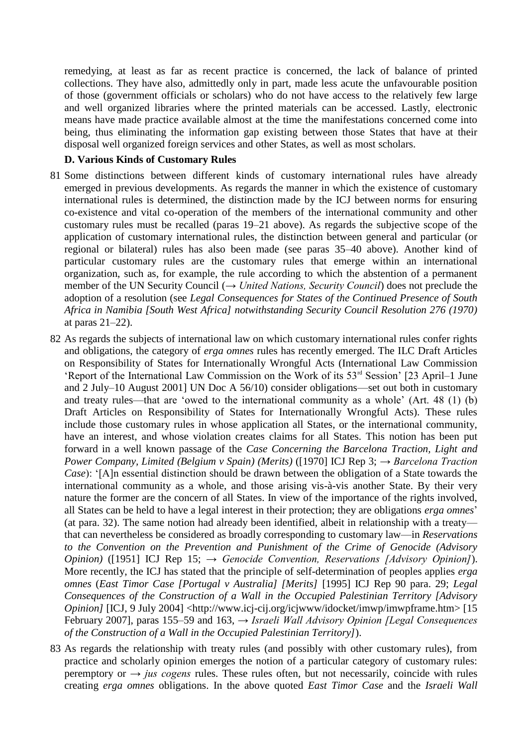remedying, at least as far as recent practice is concerned, the lack of balance of printed collections. They have also, admittedly only in part, made less acute the unfavourable position of those (government officials or scholars) who do not have access to the relatively few large and well organized libraries where the printed materials can be accessed. Lastly, electronic means have made practice available almost at the time the manifestations concerned come into being, thus eliminating the information gap existing between those States that have at their disposal well organized foreign services and other States, as well as most scholars.

#### **D. Various Kinds of Customary Rules**

- 81 Some distinctions between different kinds of customary international rules have already emerged in previous developments. As regards the manner in which the existence of customary international rules is determined, the distinction made by the ICJ between norms for ensuring co-existence and vital co-operation of the members of the international community and other customary rules must be recalled (paras 19–21 above). As regards the subjective scope of the application of customary international rules, the distinction between general and particular (or regional or bilateral) rules has also been made (see paras 35–40 above). Another kind of particular customary rules are the customary rules that emerge within an international organization, such as, for example, the rule according to which the abstention of a permanent member of the UN Security Council (*→ United Nations, Security Council*) does not preclude the adoption of a resolution (see *Legal Consequences for States of the Continued Presence of South Africa in Namibia [South West Africa] notwithstanding Security Council Resolution 276 (1970)* at paras 21–22).
- 82 As regards the subjects of international law on which customary international rules confer rights and obligations, the category of *erga omnes* rules has recently emerged. The ILC Draft Articles on Responsibility of States for Internationally Wrongful Acts (International Law Commission 'Report of the International Law Commission on the Work of its  $53<sup>rd</sup> Session'$  [23 April–1 June and 2 July–10 August 2001] UN Doc A 56/10) consider obligations—set out both in customary and treaty rules—that are 'owed to the international community as a whole' (Art. 48  $(1)$  (b) Draft Articles on Responsibility of States for Internationally Wrongful Acts). These rules include those customary rules in whose application all States, or the international community, have an interest, and whose violation creates claims for all States. This notion has been put forward in a well known passage of the *Case Concerning the Barcelona Traction, Light and Power Company, Limited (Belgium v Spain) (Merits)* ([1970] ICJ Rep 3; *→ Barcelona Traction Case*): '[A]n essential distinction should be drawn between the obligation of a State towards the international community as a whole, and those arising vis-à-vis another State. By their very nature the former are the concern of all States. In view of the importance of the rights involved, all States can be held to have a legal interest in their protection; they are obligations *erga omnes*' (at para. 32). The same notion had already been identified, albeit in relationship with a treaty that can nevertheless be considered as broadly corresponding to customary law—in *Reservations to the Convention on the Prevention and Punishment of the Crime of Genocide (Advisory Opinion)* ([1951] ICJ Rep 15; *→ Genocide Convention, Reservations [Advisory Opinion]*). More recently, the ICJ has stated that the principle of self-determination of peoples applies *erga omnes* (*East Timor Case [Portugal v Australia] [Merits]* [1995] ICJ Rep 90 para. 29; *Legal Consequences of the Construction of a Wall in the Occupied Palestinian Territory [Advisory Opinion]* [ICJ, 9 July 2004] <http://www.icj-cij.org/icjwww/idocket/imwp/imwpframe.htm> [15 February 2007], paras 155–59 and 163, *→ Israeli Wall Advisory Opinion [Legal Consequences of the Construction of a Wall in the Occupied Palestinian Territory]*).
- 83 As regards the relationship with treaty rules (and possibly with other customary rules), from practice and scholarly opinion emerges the notion of a particular category of customary rules: peremptory or  $\rightarrow$  *jus cogens* rules. These rules often, but not necessarily, coincide with rules creating *erga omnes* obligations. In the above quoted *East Timor Case* and the *Israeli Wall*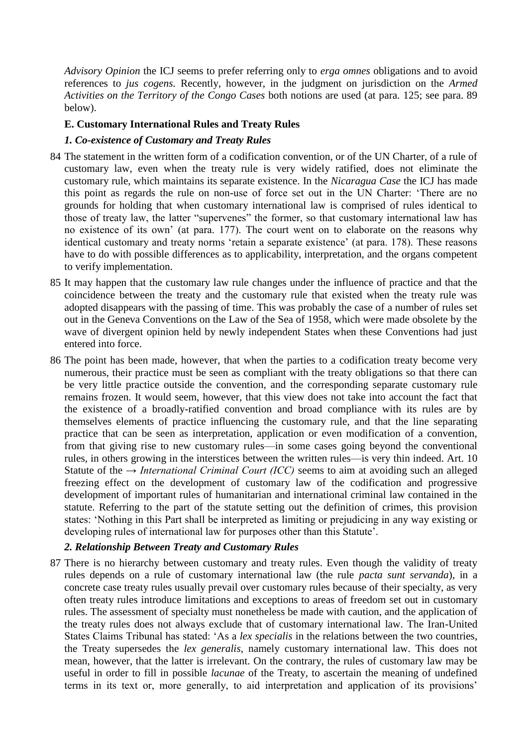*Advisory Opinion* the ICJ seems to prefer referring only to *erga omnes* obligations and to avoid references to *jus cogens.* Recently, however, in the judgment on jurisdiction on the *Armed Activities on the Territory of the Congo Cases* both notions are used (at para. 125; see para. 89 below).

### **E. Customary International Rules and Treaty Rules**

### *1. Co-existence of Customary and Treaty Rules*

- 84 The statement in the written form of a codification convention, or of the UN Charter, of a rule of customary law, even when the treaty rule is very widely ratified, does not eliminate the customary rule, which maintains its separate existence. In the *Nicaragua Case* the ICJ has made this point as regards the rule on non-use of force set out in the UN Charter: 'There are no grounds for holding that when customary international law is comprised of rules identical to those of treaty law, the latter "supervenes" the former, so that customary international law has no existence of its own' (at para. 177). The court went on to elaborate on the reasons why identical customary and treaty norms 'retain a separate existence' (at para. 178). These reasons have to do with possible differences as to applicability, interpretation, and the organs competent to verify implementation.
- 85 It may happen that the customary law rule changes under the influence of practice and that the coincidence between the treaty and the customary rule that existed when the treaty rule was adopted disappears with the passing of time. This was probably the case of a number of rules set out in the Geneva Conventions on the Law of the Sea of 1958, which were made obsolete by the wave of divergent opinion held by newly independent States when these Conventions had just entered into force.
- 86 The point has been made, however, that when the parties to a codification treaty become very numerous, their practice must be seen as compliant with the treaty obligations so that there can be very little practice outside the convention, and the corresponding separate customary rule remains frozen. It would seem, however, that this view does not take into account the fact that the existence of a broadly-ratified convention and broad compliance with its rules are by themselves elements of practice influencing the customary rule, and that the line separating practice that can be seen as interpretation, application or even modification of a convention, from that giving rise to new customary rules—in some cases going beyond the conventional rules, in others growing in the interstices between the written rules—is very thin indeed. Art. 10 Statute of the *→ International Criminal Court (ICC)* seems to aim at avoiding such an alleged freezing effect on the development of customary law of the codification and progressive development of important rules of humanitarian and international criminal law contained in the statute. Referring to the part of the statute setting out the definition of crimes, this provision states: ‗Nothing in this Part shall be interpreted as limiting or prejudicing in any way existing or developing rules of international law for purposes other than this Statute'.

#### *2. Relationship Between Treaty and Customary Rules*

87 There is no hierarchy between customary and treaty rules. Even though the validity of treaty rules depends on a rule of customary international law (the rule *pacta sunt servanda*), in a concrete case treaty rules usually prevail over customary rules because of their specialty, as very often treaty rules introduce limitations and exceptions to areas of freedom set out in customary rules. The assessment of specialty must nonetheless be made with caution, and the application of the treaty rules does not always exclude that of customary international law. The Iran-United States Claims Tribunal has stated: ‗As a *lex specialis* in the relations between the two countries, the Treaty supersedes the *lex generalis*, namely customary international law. This does not mean, however, that the latter is irrelevant. On the contrary, the rules of customary law may be useful in order to fill in possible *lacunae* of the Treaty, to ascertain the meaning of undefined terms in its text or, more generally, to aid interpretation and application of its provisions'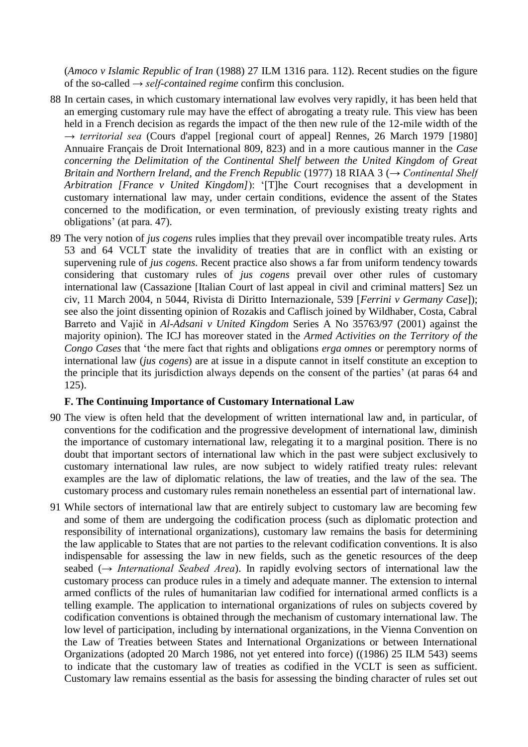(*Amoco v Islamic Republic of Iran* (1988) 27 ILM 1316 para. 112). Recent studies on the figure of the so-called *→ self-contained regime* confirm this conclusion.

- 88 In certain cases, in which customary international law evolves very rapidly, it has been held that an emerging customary rule may have the effect of abrogating a treaty rule. This view has been held in a French decision as regards the impact of the then new rule of the 12-mile width of the *→ territorial sea* (Cours d'appel [regional court of appeal] Rennes, 26 March 1979 [1980] Annuaire Français de Droit International 809, 823) and in a more cautious manner in the *Case concerning the Delimitation of the Continental Shelf between the United Kingdom of Great Britain and Northern Ireland, and the French Republic* (1977) 18 RIAA 3 (*→ Continental Shelf Arbitration [France v United Kingdom]*): ‗[T]he Court recognises that a development in customary international law may, under certain conditions, evidence the assent of the States concerned to the modification, or even termination, of previously existing treaty rights and obligations' (at para. 47).
- 89 The very notion of *jus cogens* rules implies that they prevail over incompatible treaty rules. Arts 53 and 64 VCLT state the invalidity of treaties that are in conflict with an existing or supervening rule of *jus cogens.* Recent practice also shows a far from uniform tendency towards considering that customary rules of *jus cogens* prevail over other rules of customary international law (Cassazione [Italian Court of last appeal in civil and criminal matters] Sez un civ, 11 March 2004, n 5044, Rivista di Diritto Internazionale, 539 [*Ferrini v Germany Case*]); see also the joint dissenting opinion of Rozakis and Caflisch joined by Wildhaber, Costa, Cabral Barreto and Vajič in *Al-Adsani v United Kingdom* Series A No 35763/97 (2001) against the majority opinion). The ICJ has moreover stated in the *Armed Activities on the Territory of the Congo Cases* that 'the mere fact that rights and obligations *erga omnes* or peremptory norms of international law (*jus cogens*) are at issue in a dispute cannot in itself constitute an exception to the principle that its jurisdiction always depends on the consent of the parties' (at paras 64 and 125).

#### **F. The Continuing Importance of Customary International Law**

- 90 The view is often held that the development of written international law and, in particular, of conventions for the codification and the progressive development of international law, diminish the importance of customary international law, relegating it to a marginal position. There is no doubt that important sectors of international law which in the past were subject exclusively to customary international law rules, are now subject to widely ratified treaty rules: relevant examples are the law of diplomatic relations, the law of treaties, and the law of the sea. The customary process and customary rules remain nonetheless an essential part of international law.
- 91 While sectors of international law that are entirely subject to customary law are becoming few and some of them are undergoing the codification process (such as diplomatic protection and responsibility of international organizations), customary law remains the basis for determining the law applicable to States that are not parties to the relevant codification conventions. It is also indispensable for assessing the law in new fields, such as the genetic resources of the deep seabed (*→ International Seabed Area*). In rapidly evolving sectors of international law the customary process can produce rules in a timely and adequate manner. The extension to internal armed conflicts of the rules of humanitarian law codified for international armed conflicts is a telling example. The application to international organizations of rules on subjects covered by codification conventions is obtained through the mechanism of customary international law. The low level of participation, including by international organizations, in the Vienna Convention on the Law of Treaties between States and International Organizations or between International Organizations (adopted 20 March 1986, not yet entered into force) ((1986) 25 ILM 543) seems to indicate that the customary law of treaties as codified in the VCLT is seen as sufficient. Customary law remains essential as the basis for assessing the binding character of rules set out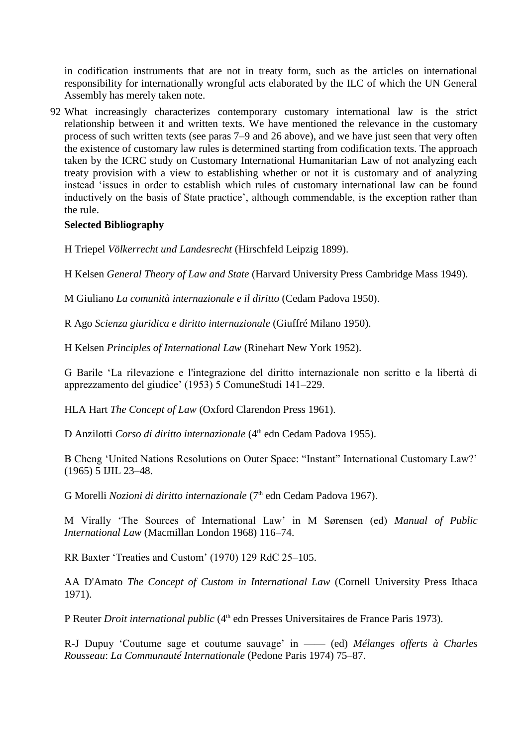in codification instruments that are not in treaty form, such as the articles on international responsibility for internationally wrongful acts elaborated by the ILC of which the UN General Assembly has merely taken note.

92 What increasingly characterizes contemporary customary international law is the strict relationship between it and written texts. We have mentioned the relevance in the customary process of such written texts (see paras 7–9 and 26 above), and we have just seen that very often the existence of customary law rules is determined starting from codification texts. The approach taken by the ICRC study on Customary International Humanitarian Law of not analyzing each treaty provision with a view to establishing whether or not it is customary and of analyzing instead ‗issues in order to establish which rules of customary international law can be found inductively on the basis of State practice', although commendable, is the exception rather than the rule.

### **Selected Bibliography**

H Triepel *Völkerrecht und Landesrecht* (Hirschfeld Leipzig 1899).

H Kelsen *General Theory of Law and State* (Harvard University Press Cambridge Mass 1949).

M Giuliano *La comunità internazionale e il diritto* (Cedam Padova 1950).

R Ago *Scienza giuridica e diritto internazionale* (Giuffré Milano 1950).

H Kelsen *Principles of International Law* (Rinehart New York 1952).

G Barile ‗La rilevazione e l'integrazione del diritto internazionale non scritto e la libertà di apprezzamento del giudice' (1953) 5 ComuneStudi 141–229.

HLA Hart *The Concept of Law* (Oxford Clarendon Press 1961).

D Anzilotti *Corso di diritto internazionale* (4<sup>th</sup> edn Cedam Padova 1955).

B Cheng 'United Nations Resolutions on Outer Space: "Instant" International Customary Law?' (1965) 5 IJIL 23–48.

G Morelli *Nozioni di diritto internazionale* (7th edn Cedam Padova 1967).

M Virally ‗The Sources of International Law' in M Sørensen (ed) *Manual of Public International Law* (Macmillan London 1968) 116–74.

RR Baxter 'Treaties and Custom' (1970) 129 RdC 25-105.

AA D'Amato *The Concept of Custom in International Law* (Cornell University Press Ithaca 1971).

P Reuter *Droit international public* (4<sup>th</sup> edn Presses Universitaires de France Paris 1973).

R-J Dupuy ‗Coutume sage et coutume sauvage' in —— (ed) *Mélanges offerts à Charles Rousseau*: *La Communauté Internationale* (Pedone Paris 1974) 75–87.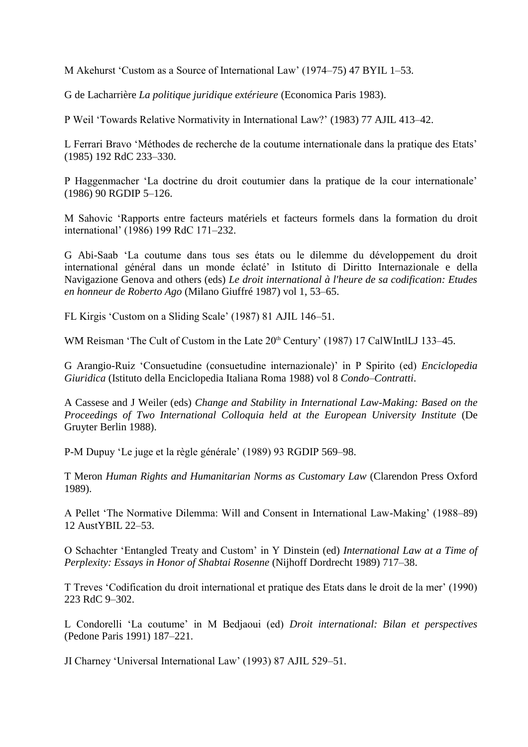M Akehurst ‗Custom as a Source of International Law' (1974–75) 47 BYIL 1–53.

G de Lacharrière *La politique juridique extérieure* (Economica Paris 1983).

P Weil ‗Towards Relative Normativity in International Law?' (1983) 77 AJIL 413–42.

L Ferrari Bravo ‗Méthodes de recherche de la coutume internationale dans la pratique des Etats' (1985) 192 RdC 233–330.

P Haggenmacher ‗La doctrine du droit coutumier dans la pratique de la cour internationale' (1986) 90 RGDIP 5–126.

M Sahovic ‗Rapports entre facteurs matériels et facteurs formels dans la formation du droit international' (1986) 199 RdC 171–232.

G Abi-Saab ‗La coutume dans tous ses états ou le dilemme du développement du droit international général dans un monde éclaté' in Istituto di Diritto Internazionale e della Navigazione Genova and others (eds) *Le droit international à l'heure de sa codification: Etudes en honneur de Roberto Ago* (Milano Giuffré 1987) vol 1, 53–65.

FL Kirgis ‗Custom on a Sliding Scale' (1987) 81 AJIL 146–51.

WM Reisman 'The Cult of Custom in the Late 20<sup>th</sup> Century' (1987) 17 CalWIntlLJ 133-45.

G Arangio-Ruiz ‗Consuetudine (consuetudine internazionale)' in P Spirito (ed) *Enciclopedia Giuridica* (Istituto della Enciclopedia Italiana Roma 1988) vol 8 *Condo–Contratti*.

A Cassese and J Weiler (eds) *Change and Stability in International Law-Making: Based on the Proceedings of Two International Colloquia held at the European University Institute* (De Gruyter Berlin 1988).

P-M Dupuy ‗Le juge et la règle générale' (1989) 93 RGDIP 569–98.

T Meron *Human Rights and Humanitarian Norms as Customary Law* (Clarendon Press Oxford 1989).

A Pellet ‗The Normative Dilemma: Will and Consent in International Law-Making' (1988–89) 12 AustYBIL 22–53.

O Schachter ‗Entangled Treaty and Custom' in Y Dinstein (ed) *International Law at a Time of Perplexity: Essays in Honor of Shabtai Rosenne* (Nijhoff Dordrecht 1989) 717–38.

T Treves ‗Codification du droit international et pratique des Etats dans le droit de la mer' (1990) 223 RdC 9–302.

L Condorelli ‗La coutume' in M Bedjaoui (ed) *Droit international: Bilan et perspectives* (Pedone Paris 1991) 187–221.

JI Charney ‗Universal International Law' (1993) 87 AJIL 529–51.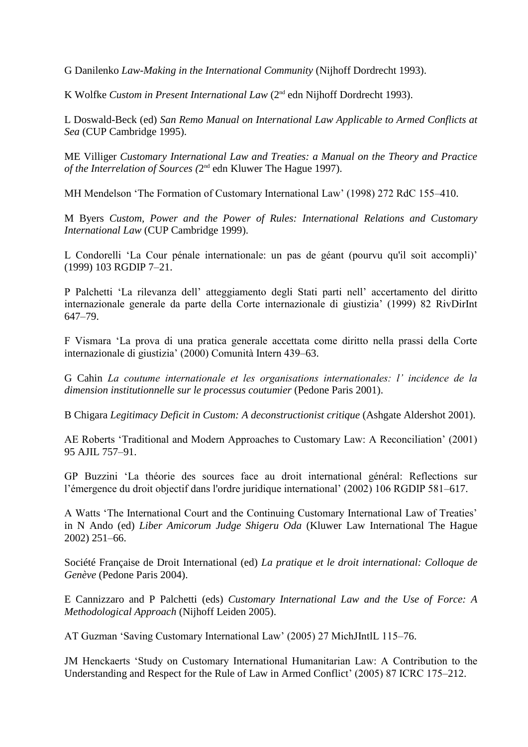G Danilenko *Law-Making in the International Community* (Nijhoff Dordrecht 1993).

K Wolfke *Custom in Present International Law* (2<sup>nd</sup> edn Nijhoff Dordrecht 1993).

L Doswald-Beck (ed) *San Remo Manual on International Law Applicable to Armed Conflicts at Sea* (CUP Cambridge 1995).

ME Villiger *Customary International Law and Treaties: a Manual on the Theory and Practice*  of the Interrelation of Sources (2<sup>nd</sup> edn Kluwer The Hague 1997).

MH Mendelson 'The Formation of Customary International Law' (1998) 272 RdC 155–410.

M Byers *Custom, Power and the Power of Rules: International Relations and Customary International Law* (CUP Cambridge 1999).

L Condorelli 'La Cour pénale internationale: un pas de géant (pourvu qu'il soit accompli)' (1999) 103 RGDIP 7–21.

P Palchetti ‗La rilevanza dell' atteggiamento degli Stati parti nell' accertamento del diritto internazionale generale da parte della Corte internazionale di giustizia' (1999) 82 RivDirInt 647–79.

F Vismara ‗La prova di una pratica generale accettata come diritto nella prassi della Corte internazionale di giustizia' (2000) Comunità Intern 439–63.

G Cahin *La coutume internationale et les organisations internationales: l' incidence de la dimension institutionnelle sur le processus coutumier* (Pedone Paris 2001).

B Chigara *Legitimacy Deficit in Custom: A deconstructionist critique* (Ashgate Aldershot 2001).

AE Roberts 'Traditional and Modern Approaches to Customary Law: A Reconciliation' (2001) 95 AJIL 757–91.

GP Buzzini ‗La théorie des sources face au droit international général: Reflections sur l'émergence du droit objectif dans l'ordre juridique international' (2002) 106 RGDIP 581–617.

A Watts ‗The International Court and the Continuing Customary International Law of Treaties' in N Ando (ed) *Liber Amicorum Judge Shigeru Oda* (Kluwer Law International The Hague 2002) 251–66.

Société Française de Droit International (ed) *La pratique et le droit international: Colloque de Genève* (Pedone Paris 2004).

E Cannizzaro and P Palchetti (eds) *Customary International Law and the Use of Force: A Methodological Approach* (Nijhoff Leiden 2005).

AT Guzman 'Saving Customary International Law' (2005) 27 MichJIntlL 115–76.

JM Henckaerts ‗Study on Customary International Humanitarian Law: A Contribution to the Understanding and Respect for the Rule of Law in Armed Conflict' (2005) 87 ICRC 175–212.